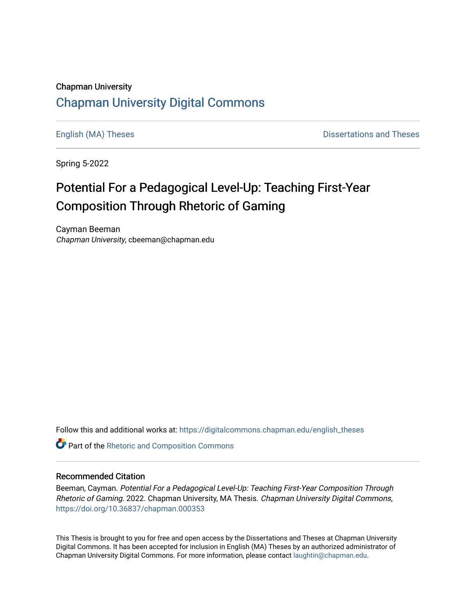## Chapman University [Chapman University Digital Commons](https://digitalcommons.chapman.edu/)

[English \(MA\) Theses](https://digitalcommons.chapman.edu/english_theses) **Dissertations and Theses** 

Spring 5-2022

# Potential For a Pedagogical Level-Up: Teaching First-Year Composition Through Rhetoric of Gaming

Cayman Beeman Chapman University, cbeeman@chapman.edu

Follow this and additional works at: [https://digitalcommons.chapman.edu/english\\_theses](https://digitalcommons.chapman.edu/english_theses?utm_source=digitalcommons.chapman.edu%2Fenglish_theses%2F46&utm_medium=PDF&utm_campaign=PDFCoverPages) 

**Part of the [Rhetoric and Composition Commons](http://network.bepress.com/hgg/discipline/573?utm_source=digitalcommons.chapman.edu%2Fenglish_theses%2F46&utm_medium=PDF&utm_campaign=PDFCoverPages)** 

#### Recommended Citation

Beeman, Cayman. Potential For a Pedagogical Level-Up: Teaching First-Year Composition Through Rhetoric of Gaming. 2022. Chapman University, MA Thesis. Chapman University Digital Commons, <https://doi.org/10.36837/chapman.000353>

This Thesis is brought to you for free and open access by the Dissertations and Theses at Chapman University Digital Commons. It has been accepted for inclusion in English (MA) Theses by an authorized administrator of Chapman University Digital Commons. For more information, please contact [laughtin@chapman.edu](mailto:laughtin@chapman.edu).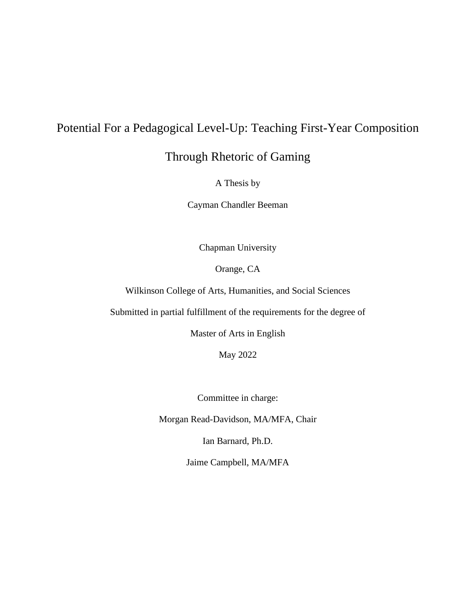## Potential For a Pedagogical Level-Up: Teaching First-Year Composition

Through Rhetoric of Gaming

A Thesis by

Cayman Chandler Beeman

Chapman University

Orange, CA

Wilkinson College of Arts, Humanities, and Social Sciences

Submitted in partial fulfillment of the requirements for the degree of

Master of Arts in English

May 2022

Committee in charge:

Morgan Read-Davidson, MA/MFA, Chair

Ian Barnard, Ph.D.

Jaime Campbell, MA/MFA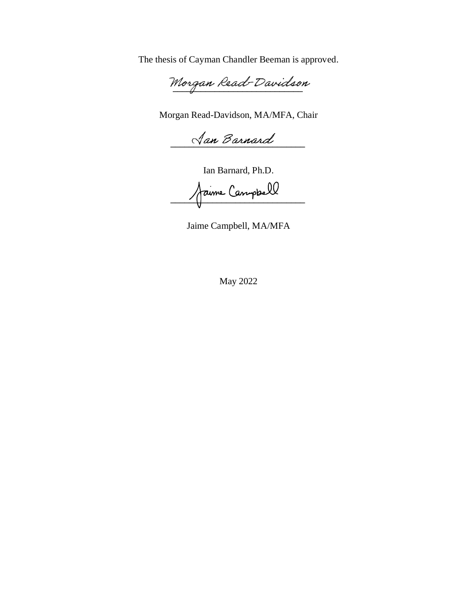The thesis of Cayman Chandler Beeman is approved.

Morgan Read-Davidson

Morgan Read-Davidson, MA/MFA, Chair

**\_\_\_\_\_\_\_\_\_\_\_\_\_\_\_\_\_\_\_\_\_\_\_\_\_\_\_\_\_**

Ian Barnard, Ph.D.

**\_\_\_\_\_\_\_\_\_\_\_\_\_\_\_\_\_\_\_\_\_\_\_\_\_\_\_\_\_**

Jaime Campbell, MA/MFA

May 2022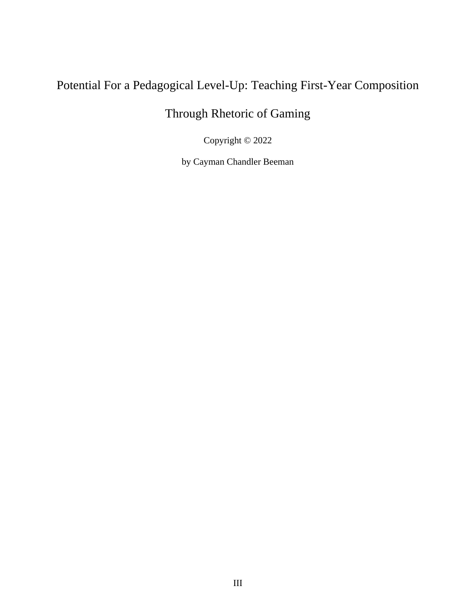# Potential For a Pedagogical Level-Up: Teaching First-Year Composition

# Through Rhetoric of Gaming

Copyright © 2022

by Cayman Chandler Beeman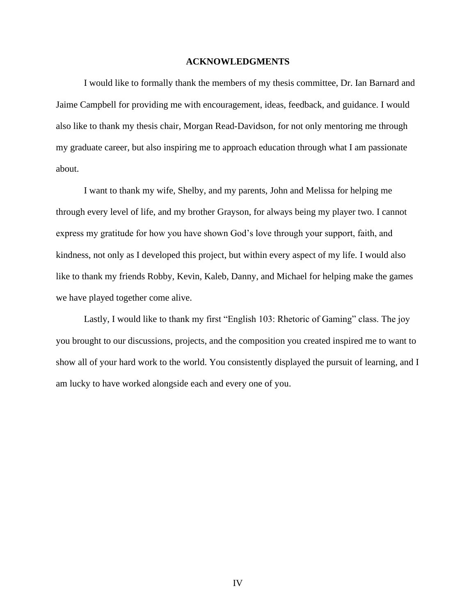#### **ACKNOWLEDGMENTS**

I would like to formally thank the members of my thesis committee, Dr. Ian Barnard and Jaime Campbell for providing me with encouragement, ideas, feedback, and guidance. I would also like to thank my thesis chair, Morgan Read-Davidson, for not only mentoring me through my graduate career, but also inspiring me to approach education through what I am passionate about.

I want to thank my wife, Shelby, and my parents, John and Melissa for helping me through every level of life, and my brother Grayson, for always being my player two. I cannot express my gratitude for how you have shown God's love through your support, faith, and kindness, not only as I developed this project, but within every aspect of my life. I would also like to thank my friends Robby, Kevin, Kaleb, Danny, and Michael for helping make the games we have played together come alive.

Lastly, I would like to thank my first "English 103: Rhetoric of Gaming" class. The joy you brought to our discussions, projects, and the composition you created inspired me to want to show all of your hard work to the world. You consistently displayed the pursuit of learning, and I am lucky to have worked alongside each and every one of you.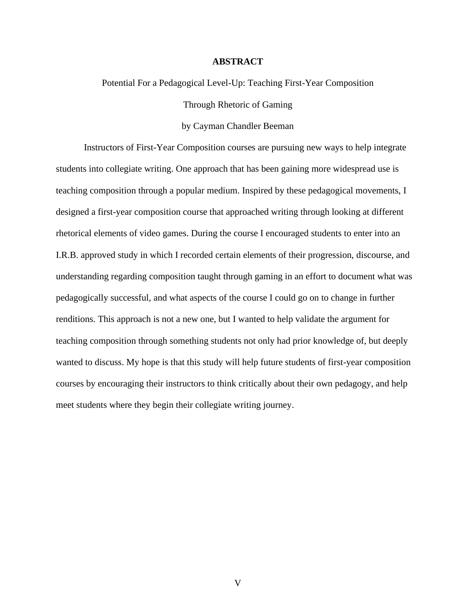#### **ABSTRACT**

Potential For a Pedagogical Level-Up: Teaching First-Year Composition Through Rhetoric of Gaming

by Cayman Chandler Beeman

Instructors of First-Year Composition courses are pursuing new ways to help integrate students into collegiate writing. One approach that has been gaining more widespread use is teaching composition through a popular medium. Inspired by these pedagogical movements, I designed a first-year composition course that approached writing through looking at different rhetorical elements of video games. During the course I encouraged students to enter into an I.R.B. approved study in which I recorded certain elements of their progression, discourse, and understanding regarding composition taught through gaming in an effort to document what was pedagogically successful, and what aspects of the course I could go on to change in further renditions. This approach is not a new one, but I wanted to help validate the argument for teaching composition through something students not only had prior knowledge of, but deeply wanted to discuss. My hope is that this study will help future students of first-year composition courses by encouraging their instructors to think critically about their own pedagogy, and help meet students where they begin their collegiate writing journey.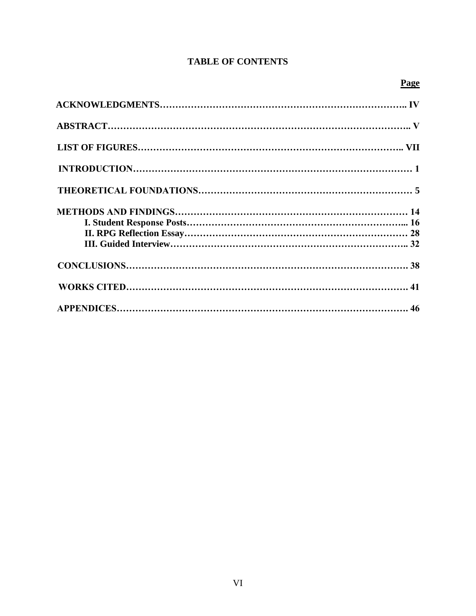### **TABLE OF CONTENTS**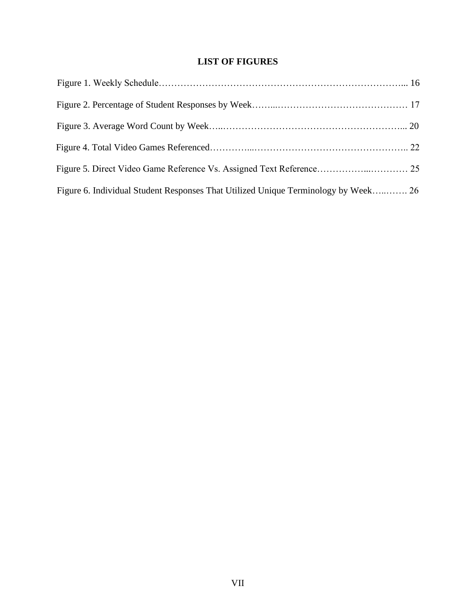### **LIST OF FIGURES**

| Figure 6. Individual Student Responses That Utilized Unique Terminology by Week 26 |  |
|------------------------------------------------------------------------------------|--|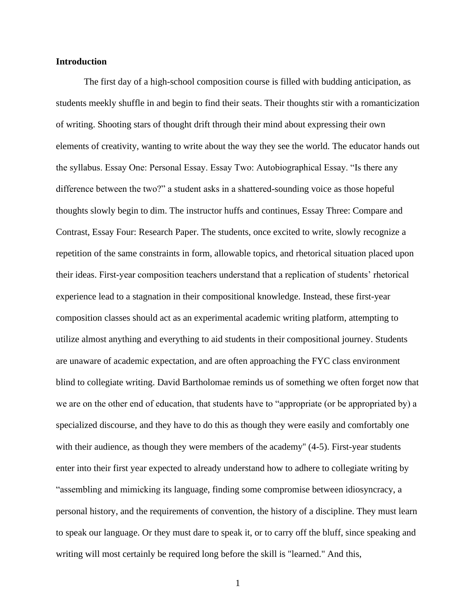#### **Introduction**

The first day of a high-school composition course is filled with budding anticipation, as students meekly shuffle in and begin to find their seats. Their thoughts stir with a romanticization of writing. Shooting stars of thought drift through their mind about expressing their own elements of creativity, wanting to write about the way they see the world. The educator hands out the syllabus. Essay One: Personal Essay. Essay Two: Autobiographical Essay. "Is there any difference between the two?" a student asks in a shattered-sounding voice as those hopeful thoughts slowly begin to dim. The instructor huffs and continues, Essay Three: Compare and Contrast, Essay Four: Research Paper. The students, once excited to write, slowly recognize a repetition of the same constraints in form, allowable topics, and rhetorical situation placed upon their ideas. First-year composition teachers understand that a replication of students' rhetorical experience lead to a stagnation in their compositional knowledge. Instead, these first-year composition classes should act as an experimental academic writing platform, attempting to utilize almost anything and everything to aid students in their compositional journey. Students are unaware of academic expectation, and are often approaching the FYC class environment blind to collegiate writing. David Bartholomae reminds us of something we often forget now that we are on the other end of education, that students have to "appropriate (or be appropriated by) a specialized discourse, and they have to do this as though they were easily and comfortably one with their audience, as though they were members of the academy" (4-5). First-year students enter into their first year expected to already understand how to adhere to collegiate writing by "assembling and mimicking its language, finding some compromise between idiosyncracy, a personal history, and the requirements of convention, the history of a discipline. They must learn to speak our language. Or they must dare to speak it, or to carry off the bluff, since speaking and writing will most certainly be required long before the skill is "learned." And this,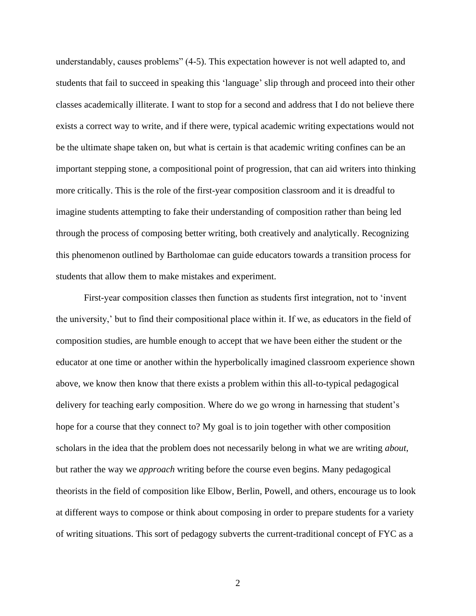understandably, causes problems" (4-5). This expectation however is not well adapted to, and students that fail to succeed in speaking this 'language' slip through and proceed into their other classes academically illiterate. I want to stop for a second and address that I do not believe there exists a correct way to write, and if there were, typical academic writing expectations would not be the ultimate shape taken on, but what is certain is that academic writing confines can be an important stepping stone, a compositional point of progression, that can aid writers into thinking more critically. This is the role of the first-year composition classroom and it is dreadful to imagine students attempting to fake their understanding of composition rather than being led through the process of composing better writing, both creatively and analytically. Recognizing this phenomenon outlined by Bartholomae can guide educators towards a transition process for students that allow them to make mistakes and experiment.

First-year composition classes then function as students first integration, not to 'invent the university,' but to find their compositional place within it. If we, as educators in the field of composition studies, are humble enough to accept that we have been either the student or the educator at one time or another within the hyperbolically imagined classroom experience shown above, we know then know that there exists a problem within this all-to-typical pedagogical delivery for teaching early composition. Where do we go wrong in harnessing that student's hope for a course that they connect to? My goal is to join together with other composition scholars in the idea that the problem does not necessarily belong in what we are writing *about*, but rather the way we *approach* writing before the course even begins. Many pedagogical theorists in the field of composition like Elbow, Berlin, Powell, and others, encourage us to look at different ways to compose or think about composing in order to prepare students for a variety of writing situations. This sort of pedagogy subverts the current-traditional concept of FYC as a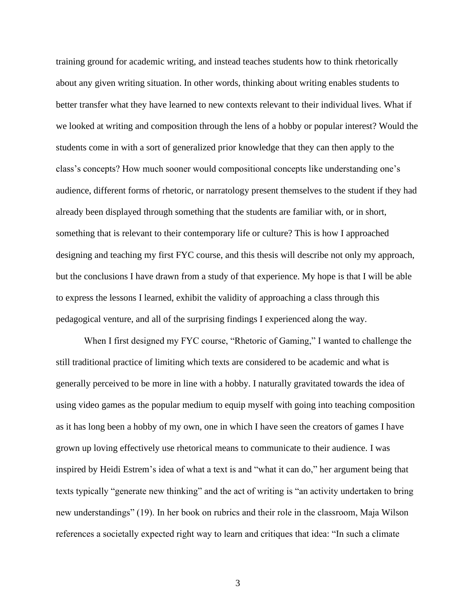training ground for academic writing, and instead teaches students how to think rhetorically about any given writing situation. In other words, thinking about writing enables students to better transfer what they have learned to new contexts relevant to their individual lives. What if we looked at writing and composition through the lens of a hobby or popular interest? Would the students come in with a sort of generalized prior knowledge that they can then apply to the class's concepts? How much sooner would compositional concepts like understanding one's audience, different forms of rhetoric, or narratology present themselves to the student if they had already been displayed through something that the students are familiar with, or in short, something that is relevant to their contemporary life or culture? This is how I approached designing and teaching my first FYC course, and this thesis will describe not only my approach, but the conclusions I have drawn from a study of that experience. My hope is that I will be able to express the lessons I learned, exhibit the validity of approaching a class through this pedagogical venture, and all of the surprising findings I experienced along the way.

When I first designed my FYC course, "Rhetoric of Gaming," I wanted to challenge the still traditional practice of limiting which texts are considered to be academic and what is generally perceived to be more in line with a hobby. I naturally gravitated towards the idea of using video games as the popular medium to equip myself with going into teaching composition as it has long been a hobby of my own, one in which I have seen the creators of games I have grown up loving effectively use rhetorical means to communicate to their audience. I was inspired by Heidi Estrem's idea of what a text is and "what it can do," her argument being that texts typically "generate new thinking" and the act of writing is "an activity undertaken to bring new understandings" (19). In her book on rubrics and their role in the classroom, Maja Wilson references a societally expected right way to learn and critiques that idea: "In such a climate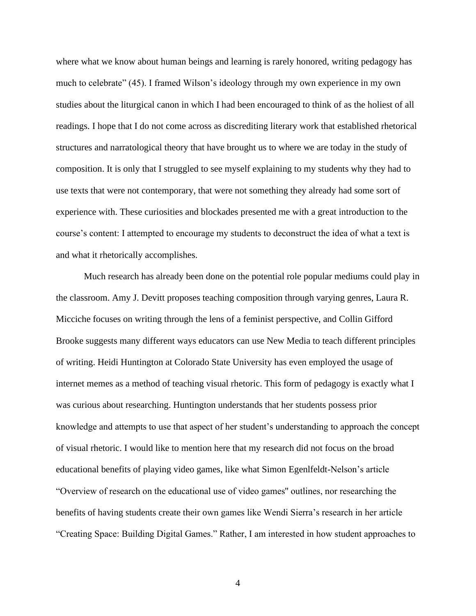where what we know about human beings and learning is rarely honored, writing pedagogy has much to celebrate" (45). I framed Wilson's ideology through my own experience in my own studies about the liturgical canon in which I had been encouraged to think of as the holiest of all readings. I hope that I do not come across as discrediting literary work that established rhetorical structures and narratological theory that have brought us to where we are today in the study of composition. It is only that I struggled to see myself explaining to my students why they had to use texts that were not contemporary, that were not something they already had some sort of experience with. These curiosities and blockades presented me with a great introduction to the course's content: I attempted to encourage my students to deconstruct the idea of what a text is and what it rhetorically accomplishes.

Much research has already been done on the potential role popular mediums could play in the classroom. Amy J. Devitt proposes teaching composition through varying genres, Laura R. Micciche focuses on writing through the lens of a feminist perspective, and Collin Gifford Brooke suggests many different ways educators can use New Media to teach different principles of writing. Heidi Huntington at Colorado State University has even employed the usage of internet memes as a method of teaching visual rhetoric. This form of pedagogy is exactly what I was curious about researching. Huntington understands that her students possess prior knowledge and attempts to use that aspect of her student's understanding to approach the concept of visual rhetoric. I would like to mention here that my research did not focus on the broad educational benefits of playing video games, like what Simon Egenlfeldt-Nelson's article "Overview of research on the educational use of video games'' outlines, nor researching the benefits of having students create their own games like Wendi Sierra's research in her article "Creating Space: Building Digital Games." Rather, I am interested in how student approaches to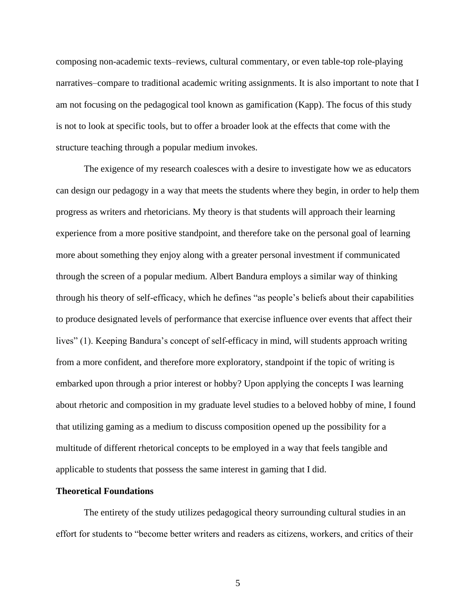composing non-academic texts–reviews, cultural commentary, or even table-top role-playing narratives–compare to traditional academic writing assignments. It is also important to note that I am not focusing on the pedagogical tool known as gamification (Kapp). The focus of this study is not to look at specific tools, but to offer a broader look at the effects that come with the structure teaching through a popular medium invokes.

The exigence of my research coalesces with a desire to investigate how we as educators can design our pedagogy in a way that meets the students where they begin, in order to help them progress as writers and rhetoricians. My theory is that students will approach their learning experience from a more positive standpoint, and therefore take on the personal goal of learning more about something they enjoy along with a greater personal investment if communicated through the screen of a popular medium. Albert Bandura employs a similar way of thinking through his theory of self-efficacy, which he defines "as people's beliefs about their capabilities to produce designated levels of performance that exercise influence over events that affect their lives" (1). Keeping Bandura's concept of self-efficacy in mind, will students approach writing from a more confident, and therefore more exploratory, standpoint if the topic of writing is embarked upon through a prior interest or hobby? Upon applying the concepts I was learning about rhetoric and composition in my graduate level studies to a beloved hobby of mine, I found that utilizing gaming as a medium to discuss composition opened up the possibility for a multitude of different rhetorical concepts to be employed in a way that feels tangible and applicable to students that possess the same interest in gaming that I did.

#### **Theoretical Foundations**

The entirety of the study utilizes pedagogical theory surrounding cultural studies in an effort for students to "become better writers and readers as citizens, workers, and critics of their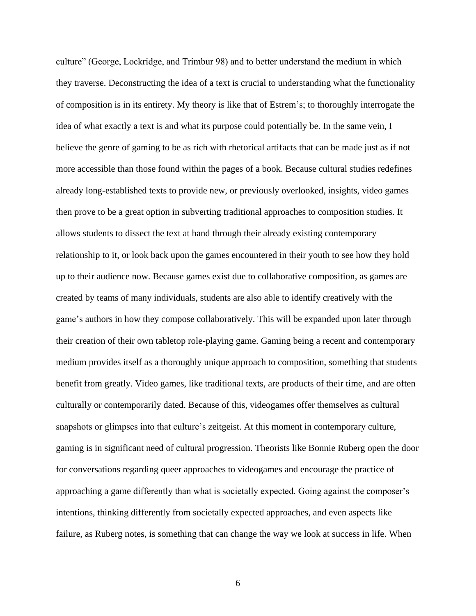culture" (George, Lockridge, and Trimbur 98) and to better understand the medium in which they traverse. Deconstructing the idea of a text is crucial to understanding what the functionality of composition is in its entirety. My theory is like that of Estrem's; to thoroughly interrogate the idea of what exactly a text is and what its purpose could potentially be. In the same vein, I believe the genre of gaming to be as rich with rhetorical artifacts that can be made just as if not more accessible than those found within the pages of a book. Because cultural studies redefines already long-established texts to provide new, or previously overlooked, insights, video games then prove to be a great option in subverting traditional approaches to composition studies. It allows students to dissect the text at hand through their already existing contemporary relationship to it, or look back upon the games encountered in their youth to see how they hold up to their audience now. Because games exist due to collaborative composition, as games are created by teams of many individuals, students are also able to identify creatively with the game's authors in how they compose collaboratively. This will be expanded upon later through their creation of their own tabletop role-playing game. Gaming being a recent and contemporary medium provides itself as a thoroughly unique approach to composition, something that students benefit from greatly. Video games, like traditional texts, are products of their time, and are often culturally or contemporarily dated. Because of this, videogames offer themselves as cultural snapshots or glimpses into that culture's zeitgeist. At this moment in contemporary culture, gaming is in significant need of cultural progression. Theorists like Bonnie Ruberg open the door for conversations regarding queer approaches to videogames and encourage the practice of approaching a game differently than what is societally expected. Going against the composer's intentions, thinking differently from societally expected approaches, and even aspects like failure, as Ruberg notes, is something that can change the way we look at success in life. When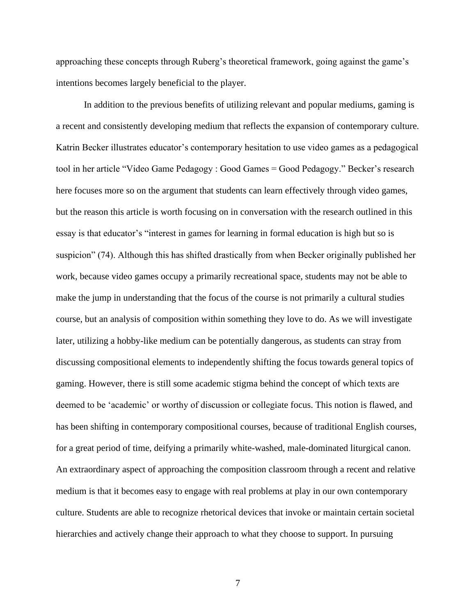approaching these concepts through Ruberg's theoretical framework, going against the game's intentions becomes largely beneficial to the player.

In addition to the previous benefits of utilizing relevant and popular mediums, gaming is a recent and consistently developing medium that reflects the expansion of contemporary culture. Katrin Becker illustrates educator's contemporary hesitation to use video games as a pedagogical tool in her article "Video Game Pedagogy : Good Games = Good Pedagogy." Becker's research here focuses more so on the argument that students can learn effectively through video games, but the reason this article is worth focusing on in conversation with the research outlined in this essay is that educator's "interest in games for learning in formal education is high but so is suspicion" (74). Although this has shifted drastically from when Becker originally published her work, because video games occupy a primarily recreational space, students may not be able to make the jump in understanding that the focus of the course is not primarily a cultural studies course, but an analysis of composition within something they love to do. As we will investigate later, utilizing a hobby-like medium can be potentially dangerous, as students can stray from discussing compositional elements to independently shifting the focus towards general topics of gaming. However, there is still some academic stigma behind the concept of which texts are deemed to be 'academic' or worthy of discussion or collegiate focus. This notion is flawed, and has been shifting in contemporary compositional courses, because of traditional English courses, for a great period of time, deifying a primarily white-washed, male-dominated liturgical canon. An extraordinary aspect of approaching the composition classroom through a recent and relative medium is that it becomes easy to engage with real problems at play in our own contemporary culture. Students are able to recognize rhetorical devices that invoke or maintain certain societal hierarchies and actively change their approach to what they choose to support. In pursuing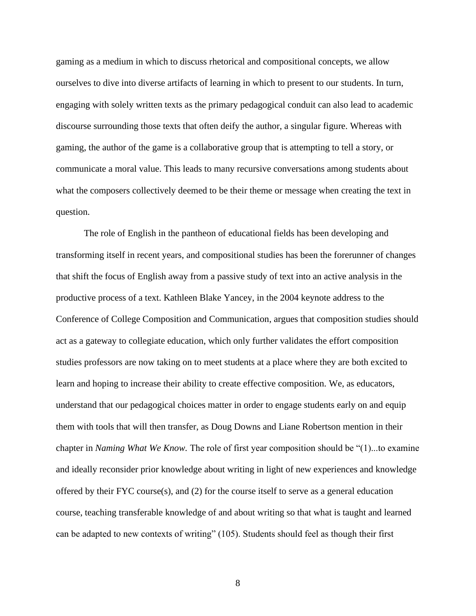gaming as a medium in which to discuss rhetorical and compositional concepts, we allow ourselves to dive into diverse artifacts of learning in which to present to our students. In turn, engaging with solely written texts as the primary pedagogical conduit can also lead to academic discourse surrounding those texts that often deify the author, a singular figure. Whereas with gaming, the author of the game is a collaborative group that is attempting to tell a story, or communicate a moral value. This leads to many recursive conversations among students about what the composers collectively deemed to be their theme or message when creating the text in question.

The role of English in the pantheon of educational fields has been developing and transforming itself in recent years, and compositional studies has been the forerunner of changes that shift the focus of English away from a passive study of text into an active analysis in the productive process of a text. Kathleen Blake Yancey, in the 2004 keynote address to the Conference of College Composition and Communication, argues that composition studies should act as a gateway to collegiate education, which only further validates the effort composition studies professors are now taking on to meet students at a place where they are both excited to learn and hoping to increase their ability to create effective composition. We, as educators, understand that our pedagogical choices matter in order to engage students early on and equip them with tools that will then transfer, as Doug Downs and Liane Robertson mention in their chapter in *Naming What We Know.* The role of first year composition should be "(1)...to examine and ideally reconsider prior knowledge about writing in light of new experiences and knowledge offered by their  $F<sup>Y</sup>C$  course(s), and (2) for the course itself to serve as a general education course, teaching transferable knowledge of and about writing so that what is taught and learned can be adapted to new contexts of writing" (105). Students should feel as though their first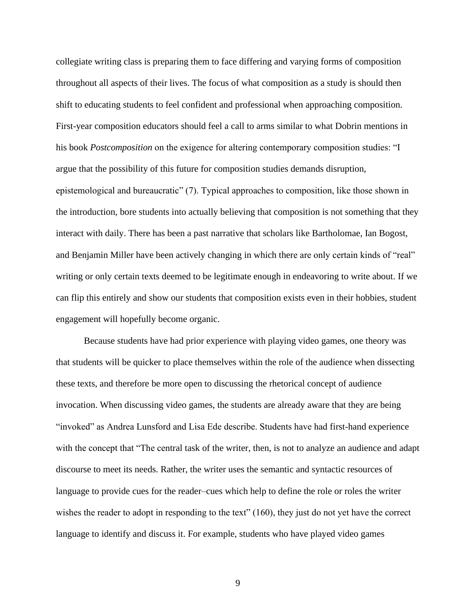collegiate writing class is preparing them to face differing and varying forms of composition throughout all aspects of their lives. The focus of what composition as a study is should then shift to educating students to feel confident and professional when approaching composition. First-year composition educators should feel a call to arms similar to what Dobrin mentions in his book *Postcomposition* on the exigence for altering contemporary composition studies: "I argue that the possibility of this future for composition studies demands disruption, epistemological and bureaucratic" (7). Typical approaches to composition, like those shown in the introduction, bore students into actually believing that composition is not something that they interact with daily. There has been a past narrative that scholars like Bartholomae, Ian Bogost, and Benjamin Miller have been actively changing in which there are only certain kinds of "real" writing or only certain texts deemed to be legitimate enough in endeavoring to write about. If we can flip this entirely and show our students that composition exists even in their hobbies, student engagement will hopefully become organic.

Because students have had prior experience with playing video games, one theory was that students will be quicker to place themselves within the role of the audience when dissecting these texts, and therefore be more open to discussing the rhetorical concept of audience invocation. When discussing video games, the students are already aware that they are being "invoked" as Andrea Lunsford and Lisa Ede describe. Students have had first-hand experience with the concept that "The central task of the writer, then, is not to analyze an audience and adapt discourse to meet its needs. Rather, the writer uses the semantic and syntactic resources of language to provide cues for the reader–cues which help to define the role or roles the writer wishes the reader to adopt in responding to the text" (160), they just do not yet have the correct language to identify and discuss it. For example, students who have played video games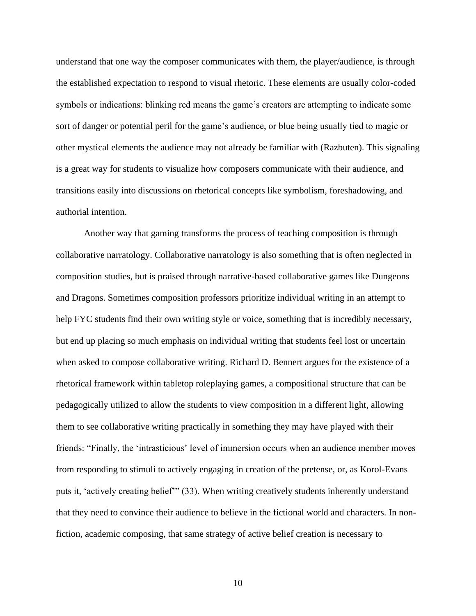understand that one way the composer communicates with them, the player/audience, is through the established expectation to respond to visual rhetoric. These elements are usually color-coded symbols or indications: blinking red means the game's creators are attempting to indicate some sort of danger or potential peril for the game's audience, or blue being usually tied to magic or other mystical elements the audience may not already be familiar with (Razbuten). This signaling is a great way for students to visualize how composers communicate with their audience, and transitions easily into discussions on rhetorical concepts like symbolism, foreshadowing, and authorial intention.

Another way that gaming transforms the process of teaching composition is through collaborative narratology. Collaborative narratology is also something that is often neglected in composition studies, but is praised through narrative-based collaborative games like Dungeons and Dragons. Sometimes composition professors prioritize individual writing in an attempt to help FYC students find their own writing style or voice, something that is incredibly necessary, but end up placing so much emphasis on individual writing that students feel lost or uncertain when asked to compose collaborative writing. Richard D. Bennert argues for the existence of a rhetorical framework within tabletop roleplaying games, a compositional structure that can be pedagogically utilized to allow the students to view composition in a different light, allowing them to see collaborative writing practically in something they may have played with their friends: "Finally, the 'intrasticious' level of immersion occurs when an audience member moves from responding to stimuli to actively engaging in creation of the pretense, or, as Korol-Evans puts it, 'actively creating belief'" (33). When writing creatively students inherently understand that they need to convince their audience to believe in the fictional world and characters. In nonfiction, academic composing, that same strategy of active belief creation is necessary to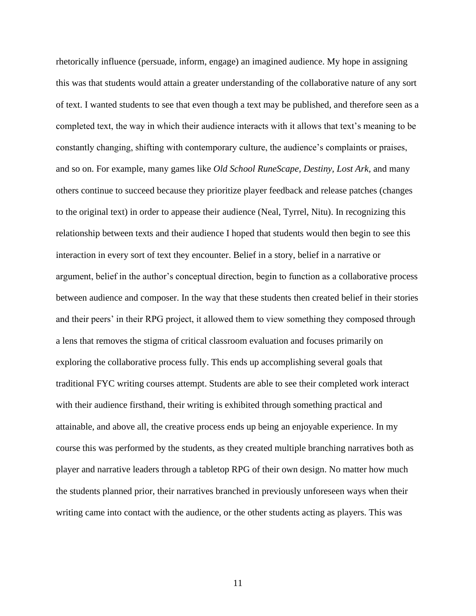rhetorically influence (persuade, inform, engage) an imagined audience. My hope in assigning this was that students would attain a greater understanding of the collaborative nature of any sort of text. I wanted students to see that even though a text may be published, and therefore seen as a completed text, the way in which their audience interacts with it allows that text's meaning to be constantly changing, shifting with contemporary culture, the audience's complaints or praises, and so on. For example, many games like *Old School RuneScape, Destiny, Lost Ark,* and many others continue to succeed because they prioritize player feedback and release patches (changes to the original text) in order to appease their audience (Neal, Tyrrel, Nitu). In recognizing this relationship between texts and their audience I hoped that students would then begin to see this interaction in every sort of text they encounter. Belief in a story, belief in a narrative or argument, belief in the author's conceptual direction, begin to function as a collaborative process between audience and composer. In the way that these students then created belief in their stories and their peers' in their RPG project, it allowed them to view something they composed through a lens that removes the stigma of critical classroom evaluation and focuses primarily on exploring the collaborative process fully. This ends up accomplishing several goals that traditional FYC writing courses attempt. Students are able to see their completed work interact with their audience firsthand, their writing is exhibited through something practical and attainable, and above all, the creative process ends up being an enjoyable experience. In my course this was performed by the students, as they created multiple branching narratives both as player and narrative leaders through a tabletop RPG of their own design. No matter how much the students planned prior, their narratives branched in previously unforeseen ways when their writing came into contact with the audience, or the other students acting as players. This was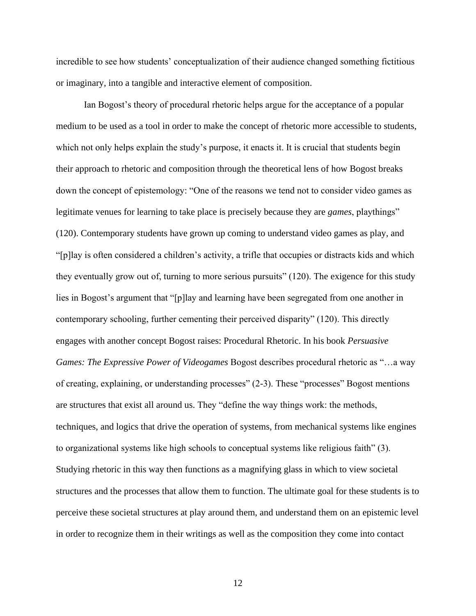incredible to see how students' conceptualization of their audience changed something fictitious or imaginary, into a tangible and interactive element of composition.

Ian Bogost's theory of procedural rhetoric helps argue for the acceptance of a popular medium to be used as a tool in order to make the concept of rhetoric more accessible to students, which not only helps explain the study's purpose, it enacts it. It is crucial that students begin their approach to rhetoric and composition through the theoretical lens of how Bogost breaks down the concept of epistemology: "One of the reasons we tend not to consider video games as legitimate venues for learning to take place is precisely because they are *games*, playthings" (120). Contemporary students have grown up coming to understand video games as play, and "[p]lay is often considered a children's activity, a trifle that occupies or distracts kids and which they eventually grow out of, turning to more serious pursuits" (120). The exigence for this study lies in Bogost's argument that "[p]lay and learning have been segregated from one another in contemporary schooling, further cementing their perceived disparity" (120). This directly engages with another concept Bogost raises: Procedural Rhetoric. In his book *Persuasive Games: The Expressive Power of Videogames* Bogost describes procedural rhetoric as "…a way of creating, explaining, or understanding processes" (2-3). These "processes" Bogost mentions are structures that exist all around us. They "define the way things work: the methods, techniques, and logics that drive the operation of systems, from mechanical systems like engines to organizational systems like high schools to conceptual systems like religious faith" (3). Studying rhetoric in this way then functions as a magnifying glass in which to view societal structures and the processes that allow them to function. The ultimate goal for these students is to perceive these societal structures at play around them, and understand them on an epistemic level in order to recognize them in their writings as well as the composition they come into contact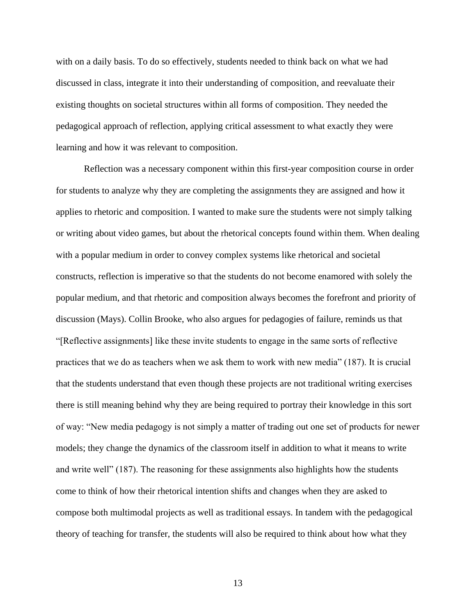with on a daily basis. To do so effectively, students needed to think back on what we had discussed in class, integrate it into their understanding of composition, and reevaluate their existing thoughts on societal structures within all forms of composition. They needed the pedagogical approach of reflection, applying critical assessment to what exactly they were learning and how it was relevant to composition.

Reflection was a necessary component within this first-year composition course in order for students to analyze why they are completing the assignments they are assigned and how it applies to rhetoric and composition. I wanted to make sure the students were not simply talking or writing about video games, but about the rhetorical concepts found within them. When dealing with a popular medium in order to convey complex systems like rhetorical and societal constructs, reflection is imperative so that the students do not become enamored with solely the popular medium, and that rhetoric and composition always becomes the forefront and priority of discussion (Mays). Collin Brooke, who also argues for pedagogies of failure, reminds us that "[Reflective assignments] like these invite students to engage in the same sorts of reflective practices that we do as teachers when we ask them to work with new media" (187). It is crucial that the students understand that even though these projects are not traditional writing exercises there is still meaning behind why they are being required to portray their knowledge in this sort of way: "New media pedagogy is not simply a matter of trading out one set of products for newer models; they change the dynamics of the classroom itself in addition to what it means to write and write well" (187). The reasoning for these assignments also highlights how the students come to think of how their rhetorical intention shifts and changes when they are asked to compose both multimodal projects as well as traditional essays. In tandem with the pedagogical theory of teaching for transfer, the students will also be required to think about how what they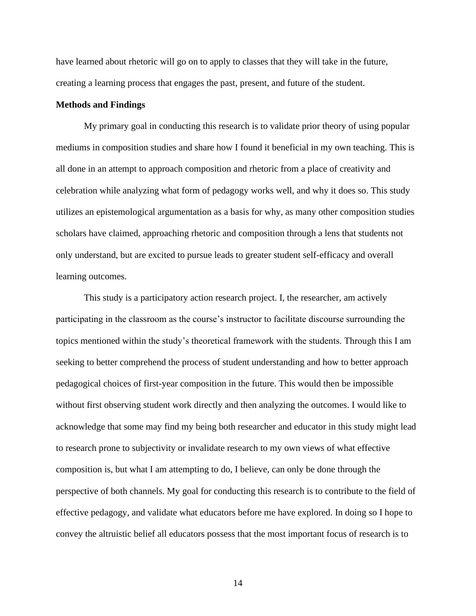have learned about rhetoric will go on to apply to classes that they will take in the future, creating a learning process that engages the past, present, and future of the student.

#### **Methods and Findings**

My primary goal in conducting this research is to validate prior theory of using popular mediums in composition studies and share how I found it beneficial in my own teaching. This is all done in an attempt to approach composition and rhetoric from a place of creativity and celebration while analyzing what form of pedagogy works well, and why it does so. This study utilizes an epistemological argumentation as a basis for why, as many other composition studies scholars have claimed, approaching rhetoric and composition through a lens that students not only understand, but are excited to pursue leads to greater student self-efficacy and overall learning outcomes.

This study is a participatory action research project. I, the researcher, am actively participating in the classroom as the course's instructor to facilitate discourse surrounding the topics mentioned within the study's theoretical framework with the students. Through this I am seeking to better comprehend the process of student understanding and how to better approach pedagogical choices of first-year composition in the future. This would then be impossible without first observing student work directly and then analyzing the outcomes. I would like to acknowledge that some may find my being both researcher and educator in this study might lead to research prone to subjectivity or invalidate research to my own views of what effective composition is, but what I am attempting to do, I believe, can only be done through the perspective of both channels. My goal for conducting this research is to contribute to the field of effective pedagogy, and validate what educators before me have explored. In doing so I hope to convey the altruistic belief all educators possess that the most important focus of research is to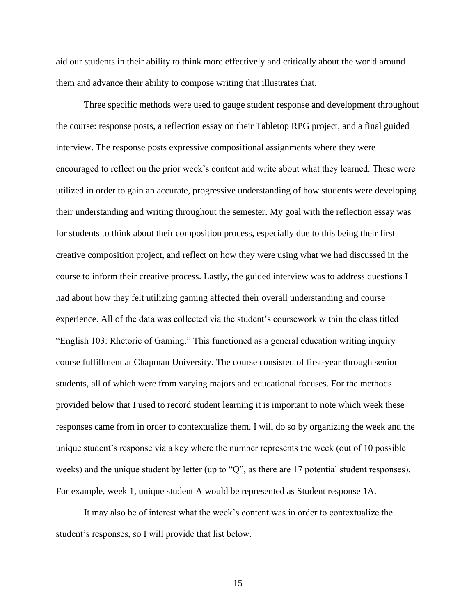aid our students in their ability to think more effectively and critically about the world around them and advance their ability to compose writing that illustrates that.

Three specific methods were used to gauge student response and development throughout the course: response posts, a reflection essay on their Tabletop RPG project, and a final guided interview. The response posts expressive compositional assignments where they were encouraged to reflect on the prior week's content and write about what they learned. These were utilized in order to gain an accurate, progressive understanding of how students were developing their understanding and writing throughout the semester. My goal with the reflection essay was for students to think about their composition process, especially due to this being their first creative composition project, and reflect on how they were using what we had discussed in the course to inform their creative process. Lastly, the guided interview was to address questions I had about how they felt utilizing gaming affected their overall understanding and course experience. All of the data was collected via the student's coursework within the class titled "English 103: Rhetoric of Gaming." This functioned as a general education writing inquiry course fulfillment at Chapman University. The course consisted of first-year through senior students, all of which were from varying majors and educational focuses. For the methods provided below that I used to record student learning it is important to note which week these responses came from in order to contextualize them. I will do so by organizing the week and the unique student's response via a key where the number represents the week (out of 10 possible weeks) and the unique student by letter (up to "Q", as there are 17 potential student responses). For example, week 1, unique student A would be represented as Student response 1A.

It may also be of interest what the week's content was in order to contextualize the student's responses, so I will provide that list below.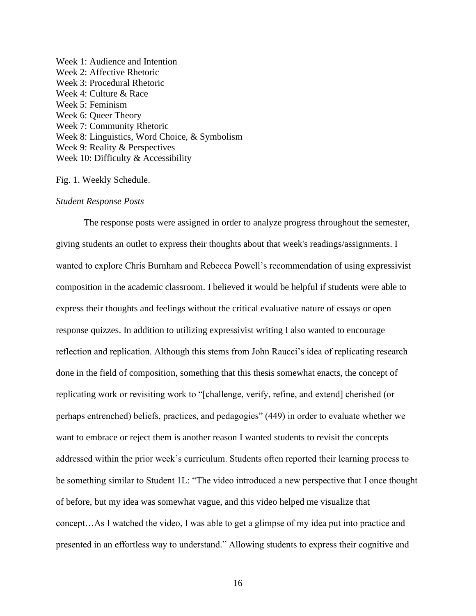Week 1: Audience and Intention Week 2: Affective Rhetoric Week 3: Procedural Rhetoric Week 4: Culture & Race Week 5: Feminism Week 6: Queer Theory Week 7: Community Rhetoric Week 8: Linguistics, Word Choice, & Symbolism Week 9: Reality & Perspectives Week 10: Difficulty & Accessibility

Fig. 1. Weekly Schedule.

#### *Student Response Posts*

The response posts were assigned in order to analyze progress throughout the semester, giving students an outlet to express their thoughts about that week's readings/assignments. I wanted to explore Chris Burnham and Rebecca Powell's recommendation of using expressivist composition in the academic classroom. I believed it would be helpful if students were able to express their thoughts and feelings without the critical evaluative nature of essays or open response quizzes. In addition to utilizing expressivist writing I also wanted to encourage reflection and replication. Although this stems from John Raucci's idea of replicating research done in the field of composition, something that this thesis somewhat enacts, the concept of replicating work or revisiting work to "[challenge, verify, refine, and extend] cherished (or perhaps entrenched) beliefs, practices, and pedagogies" (449) in order to evaluate whether we want to embrace or reject them is another reason I wanted students to revisit the concepts addressed within the prior week's curriculum. Students often reported their learning process to be something similar to Student 1L: "The video introduced a new perspective that I once thought of before, but my idea was somewhat vague, and this video helped me visualize that concept…As I watched the video, I was able to get a glimpse of my idea put into practice and presented in an effortless way to understand." Allowing students to express their cognitive and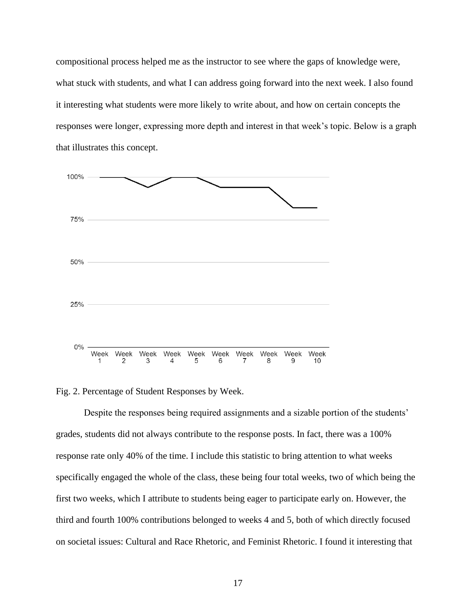compositional process helped me as the instructor to see where the gaps of knowledge were, what stuck with students, and what I can address going forward into the next week. I also found it interesting what students were more likely to write about, and how on certain concepts the responses were longer, expressing more depth and interest in that week's topic. Below is a graph that illustrates this concept.



Fig. 2. Percentage of Student Responses by Week.

Despite the responses being required assignments and a sizable portion of the students' grades, students did not always contribute to the response posts. In fact, there was a 100% response rate only 40% of the time. I include this statistic to bring attention to what weeks specifically engaged the whole of the class, these being four total weeks, two of which being the first two weeks, which I attribute to students being eager to participate early on. However, the third and fourth 100% contributions belonged to weeks 4 and 5, both of which directly focused on societal issues: Cultural and Race Rhetoric, and Feminist Rhetoric. I found it interesting that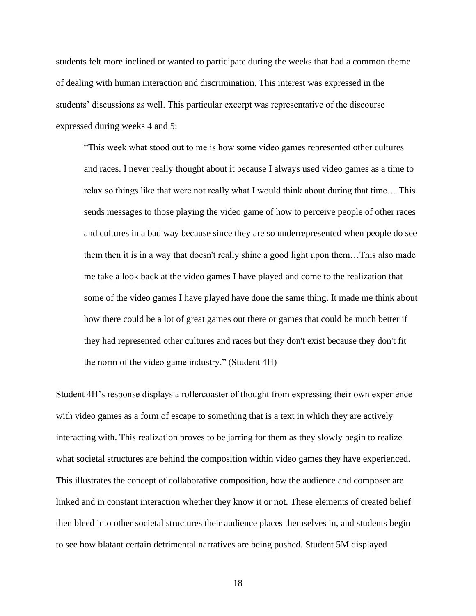students felt more inclined or wanted to participate during the weeks that had a common theme of dealing with human interaction and discrimination. This interest was expressed in the students' discussions as well. This particular excerpt was representative of the discourse expressed during weeks 4 and 5:

"This week what stood out to me is how some video games represented other cultures and races. I never really thought about it because I always used video games as a time to relax so things like that were not really what I would think about during that time… This sends messages to those playing the video game of how to perceive people of other races and cultures in a bad way because since they are so underrepresented when people do see them then it is in a way that doesn't really shine a good light upon them…This also made me take a look back at the video games I have played and come to the realization that some of the video games I have played have done the same thing. It made me think about how there could be a lot of great games out there or games that could be much better if they had represented other cultures and races but they don't exist because they don't fit the norm of the video game industry." (Student 4H)

Student 4H's response displays a rollercoaster of thought from expressing their own experience with video games as a form of escape to something that is a text in which they are actively interacting with. This realization proves to be jarring for them as they slowly begin to realize what societal structures are behind the composition within video games they have experienced. This illustrates the concept of collaborative composition, how the audience and composer are linked and in constant interaction whether they know it or not. These elements of created belief then bleed into other societal structures their audience places themselves in, and students begin to see how blatant certain detrimental narratives are being pushed. Student 5M displayed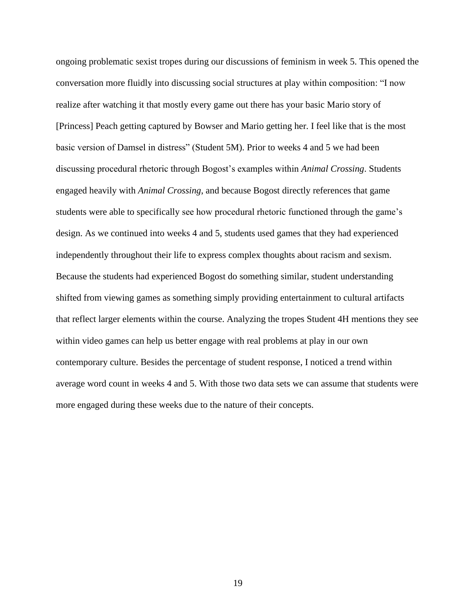ongoing problematic sexist tropes during our discussions of feminism in week 5. This opened the conversation more fluidly into discussing social structures at play within composition: "I now realize after watching it that mostly every game out there has your basic Mario story of [Princess] Peach getting captured by Bowser and Mario getting her. I feel like that is the most basic version of Damsel in distress" (Student 5M). Prior to weeks 4 and 5 we had been discussing procedural rhetoric through Bogost's examples within *Animal Crossing*. Students engaged heavily with *Animal Crossing*, and because Bogost directly references that game students were able to specifically see how procedural rhetoric functioned through the game's design. As we continued into weeks 4 and 5, students used games that they had experienced independently throughout their life to express complex thoughts about racism and sexism. Because the students had experienced Bogost do something similar, student understanding shifted from viewing games as something simply providing entertainment to cultural artifacts that reflect larger elements within the course. Analyzing the tropes Student 4H mentions they see within video games can help us better engage with real problems at play in our own contemporary culture. Besides the percentage of student response, I noticed a trend within average word count in weeks 4 and 5. With those two data sets we can assume that students were more engaged during these weeks due to the nature of their concepts.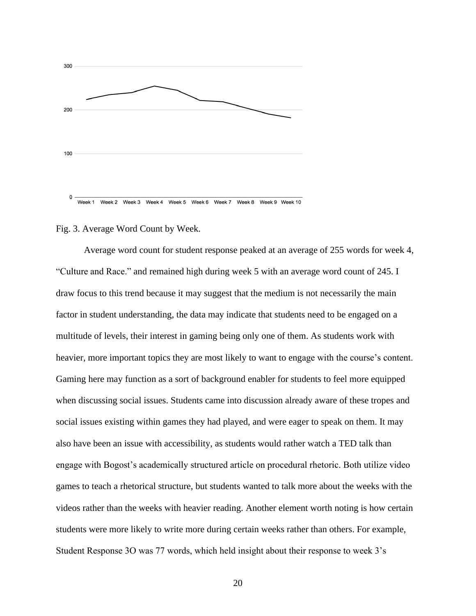

#### Fig. 3. Average Word Count by Week.

Average word count for student response peaked at an average of 255 words for week 4, "Culture and Race." and remained high during week 5 with an average word count of 245. I draw focus to this trend because it may suggest that the medium is not necessarily the main factor in student understanding, the data may indicate that students need to be engaged on a multitude of levels, their interest in gaming being only one of them. As students work with heavier, more important topics they are most likely to want to engage with the course's content. Gaming here may function as a sort of background enabler for students to feel more equipped when discussing social issues. Students came into discussion already aware of these tropes and social issues existing within games they had played, and were eager to speak on them. It may also have been an issue with accessibility, as students would rather watch a TED talk than engage with Bogost's academically structured article on procedural rhetoric. Both utilize video games to teach a rhetorical structure, but students wanted to talk more about the weeks with the videos rather than the weeks with heavier reading. Another element worth noting is how certain students were more likely to write more during certain weeks rather than others. For example, Student Response 3O was 77 words, which held insight about their response to week 3's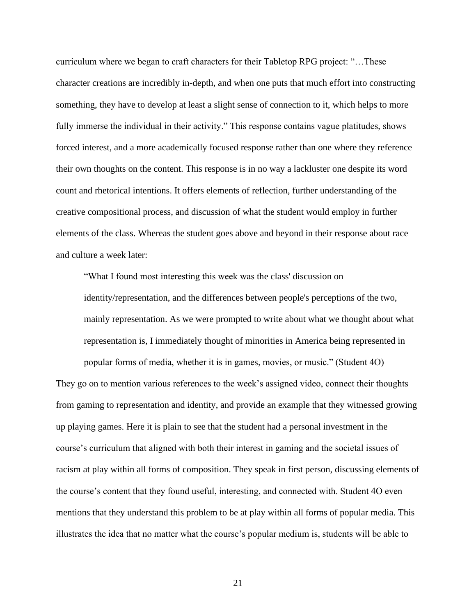curriculum where we began to craft characters for their Tabletop RPG project: "…These character creations are incredibly in-depth, and when one puts that much effort into constructing something, they have to develop at least a slight sense of connection to it, which helps to more fully immerse the individual in their activity." This response contains vague platitudes, shows forced interest, and a more academically focused response rather than one where they reference their own thoughts on the content. This response is in no way a lackluster one despite its word count and rhetorical intentions. It offers elements of reflection, further understanding of the creative compositional process, and discussion of what the student would employ in further elements of the class. Whereas the student goes above and beyond in their response about race and culture a week later:

"What I found most interesting this week was the class' discussion on identity/representation, and the differences between people's perceptions of the two, mainly representation. As we were prompted to write about what we thought about what representation is, I immediately thought of minorities in America being represented in

popular forms of media, whether it is in games, movies, or music." (Student 4O) They go on to mention various references to the week's assigned video, connect their thoughts from gaming to representation and identity, and provide an example that they witnessed growing up playing games. Here it is plain to see that the student had a personal investment in the course's curriculum that aligned with both their interest in gaming and the societal issues of racism at play within all forms of composition. They speak in first person, discussing elements of the course's content that they found useful, interesting, and connected with. Student 4O even mentions that they understand this problem to be at play within all forms of popular media. This illustrates the idea that no matter what the course's popular medium is, students will be able to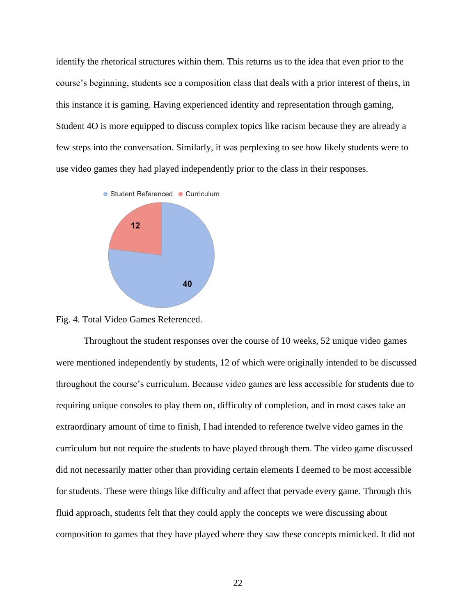identify the rhetorical structures within them. This returns us to the idea that even prior to the course's beginning, students see a composition class that deals with a prior interest of theirs, in this instance it is gaming. Having experienced identity and representation through gaming, Student 4O is more equipped to discuss complex topics like racism because they are already a few steps into the conversation. Similarly, it was perplexing to see how likely students were to use video games they had played independently prior to the class in their responses.



Fig. 4. Total Video Games Referenced.

Throughout the student responses over the course of 10 weeks, 52 unique video games were mentioned independently by students, 12 of which were originally intended to be discussed throughout the course's curriculum. Because video games are less accessible for students due to requiring unique consoles to play them on, difficulty of completion, and in most cases take an extraordinary amount of time to finish, I had intended to reference twelve video games in the curriculum but not require the students to have played through them. The video game discussed did not necessarily matter other than providing certain elements I deemed to be most accessible for students. These were things like difficulty and affect that pervade every game. Through this fluid approach, students felt that they could apply the concepts we were discussing about composition to games that they have played where they saw these concepts mimicked. It did not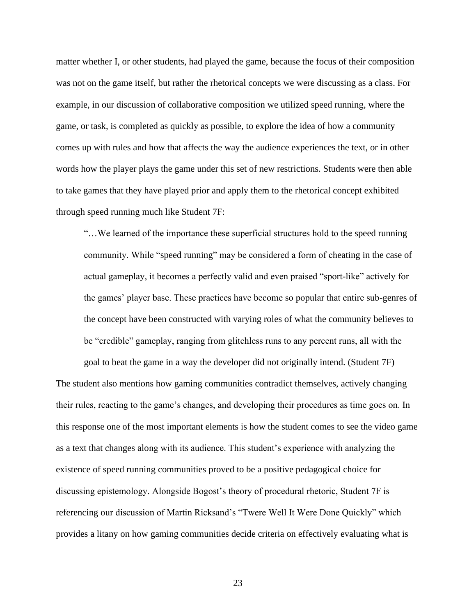matter whether I, or other students, had played the game, because the focus of their composition was not on the game itself, but rather the rhetorical concepts we were discussing as a class. For example, in our discussion of collaborative composition we utilized speed running, where the game, or task, is completed as quickly as possible, to explore the idea of how a community comes up with rules and how that affects the way the audience experiences the text, or in other words how the player plays the game under this set of new restrictions. Students were then able to take games that they have played prior and apply them to the rhetorical concept exhibited through speed running much like Student 7F:

"…We learned of the importance these superficial structures hold to the speed running community. While "speed running" may be considered a form of cheating in the case of actual gameplay, it becomes a perfectly valid and even praised "sport-like" actively for the games' player base. These practices have become so popular that entire sub-genres of the concept have been constructed with varying roles of what the community believes to be "credible" gameplay, ranging from glitchless runs to any percent runs, all with the

goal to beat the game in a way the developer did not originally intend. (Student 7F) The student also mentions how gaming communities contradict themselves, actively changing their rules, reacting to the game's changes, and developing their procedures as time goes on. In this response one of the most important elements is how the student comes to see the video game as a text that changes along with its audience. This student's experience with analyzing the existence of speed running communities proved to be a positive pedagogical choice for discussing epistemology. Alongside Bogost's theory of procedural rhetoric, Student 7F is referencing our discussion of Martin Ricksand's "Twere Well It Were Done Quickly" which provides a litany on how gaming communities decide criteria on effectively evaluating what is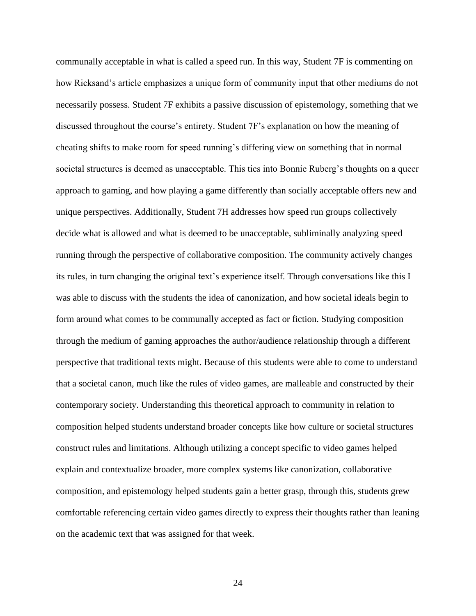communally acceptable in what is called a speed run. In this way, Student 7F is commenting on how Ricksand's article emphasizes a unique form of community input that other mediums do not necessarily possess. Student 7F exhibits a passive discussion of epistemology, something that we discussed throughout the course's entirety. Student 7F's explanation on how the meaning of cheating shifts to make room for speed running's differing view on something that in normal societal structures is deemed as unacceptable. This ties into Bonnie Ruberg's thoughts on a queer approach to gaming, and how playing a game differently than socially acceptable offers new and unique perspectives. Additionally, Student 7H addresses how speed run groups collectively decide what is allowed and what is deemed to be unacceptable, subliminally analyzing speed running through the perspective of collaborative composition. The community actively changes its rules, in turn changing the original text's experience itself. Through conversations like this I was able to discuss with the students the idea of canonization, and how societal ideals begin to form around what comes to be communally accepted as fact or fiction. Studying composition through the medium of gaming approaches the author/audience relationship through a different perspective that traditional texts might. Because of this students were able to come to understand that a societal canon, much like the rules of video games, are malleable and constructed by their contemporary society. Understanding this theoretical approach to community in relation to composition helped students understand broader concepts like how culture or societal structures construct rules and limitations. Although utilizing a concept specific to video games helped explain and contextualize broader, more complex systems like canonization, collaborative composition, and epistemology helped students gain a better grasp, through this, students grew comfortable referencing certain video games directly to express their thoughts rather than leaning on the academic text that was assigned for that week.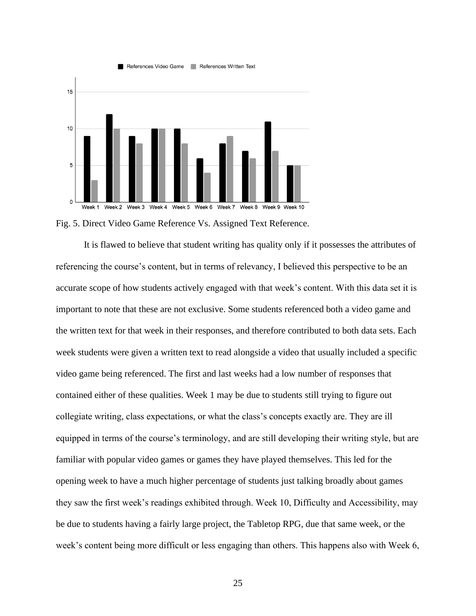

Fig. 5. Direct Video Game Reference Vs. Assigned Text Reference.

It is flawed to believe that student writing has quality only if it possesses the attributes of referencing the course's content, but in terms of relevancy, I believed this perspective to be an accurate scope of how students actively engaged with that week's content. With this data set it is important to note that these are not exclusive. Some students referenced both a video game and the written text for that week in their responses, and therefore contributed to both data sets. Each week students were given a written text to read alongside a video that usually included a specific video game being referenced. The first and last weeks had a low number of responses that contained either of these qualities. Week 1 may be due to students still trying to figure out collegiate writing, class expectations, or what the class's concepts exactly are. They are ill equipped in terms of the course's terminology, and are still developing their writing style, but are familiar with popular video games or games they have played themselves. This led for the opening week to have a much higher percentage of students just talking broadly about games they saw the first week's readings exhibited through. Week 10, Difficulty and Accessibility, may be due to students having a fairly large project, the Tabletop RPG, due that same week, or the week's content being more difficult or less engaging than others. This happens also with Week 6,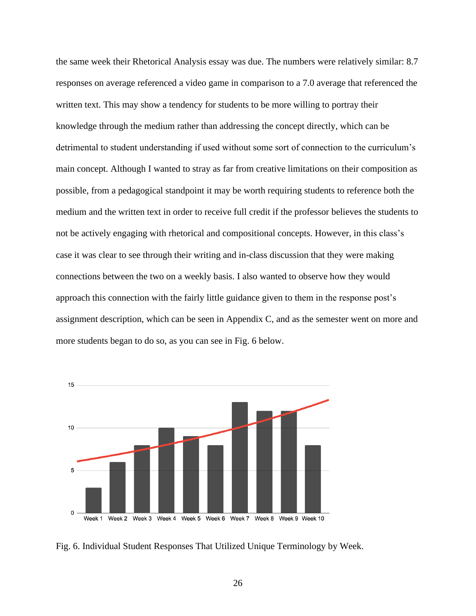the same week their Rhetorical Analysis essay was due. The numbers were relatively similar: 8.7 responses on average referenced a video game in comparison to a 7.0 average that referenced the written text. This may show a tendency for students to be more willing to portray their knowledge through the medium rather than addressing the concept directly, which can be detrimental to student understanding if used without some sort of connection to the curriculum's main concept. Although I wanted to stray as far from creative limitations on their composition as possible, from a pedagogical standpoint it may be worth requiring students to reference both the medium and the written text in order to receive full credit if the professor believes the students to not be actively engaging with rhetorical and compositional concepts. However, in this class's case it was clear to see through their writing and in-class discussion that they were making connections between the two on a weekly basis. I also wanted to observe how they would approach this connection with the fairly little guidance given to them in the response post's assignment description, which can be seen in Appendix C, and as the semester went on more and more students began to do so, as you can see in Fig. 6 below.



Fig. 6. Individual Student Responses That Utilized Unique Terminology by Week.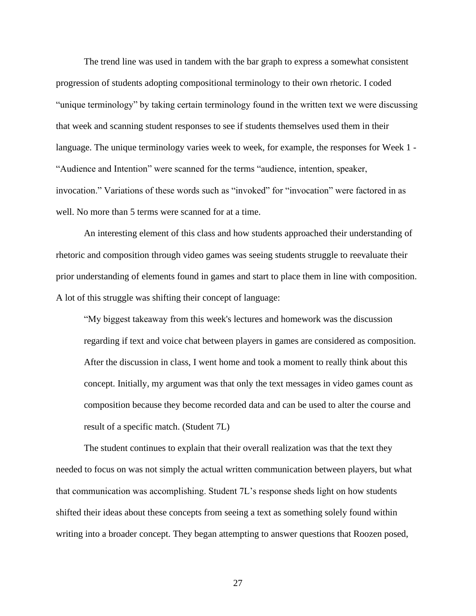The trend line was used in tandem with the bar graph to express a somewhat consistent progression of students adopting compositional terminology to their own rhetoric. I coded "unique terminology" by taking certain terminology found in the written text we were discussing that week and scanning student responses to see if students themselves used them in their language. The unique terminology varies week to week, for example, the responses for Week 1 - "Audience and Intention" were scanned for the terms "audience, intention, speaker, invocation." Variations of these words such as "invoked" for "invocation" were factored in as well. No more than 5 terms were scanned for at a time.

An interesting element of this class and how students approached their understanding of rhetoric and composition through video games was seeing students struggle to reevaluate their prior understanding of elements found in games and start to place them in line with composition. A lot of this struggle was shifting their concept of language:

"My biggest takeaway from this week's lectures and homework was the discussion regarding if text and voice chat between players in games are considered as composition. After the discussion in class, I went home and took a moment to really think about this concept. Initially, my argument was that only the text messages in video games count as composition because they become recorded data and can be used to alter the course and result of a specific match. (Student 7L)

The student continues to explain that their overall realization was that the text they needed to focus on was not simply the actual written communication between players, but what that communication was accomplishing. Student 7L's response sheds light on how students shifted their ideas about these concepts from seeing a text as something solely found within writing into a broader concept. They began attempting to answer questions that Roozen posed,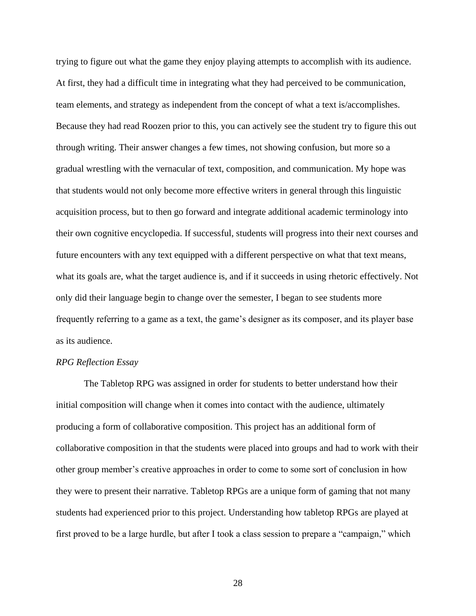trying to figure out what the game they enjoy playing attempts to accomplish with its audience. At first, they had a difficult time in integrating what they had perceived to be communication, team elements, and strategy as independent from the concept of what a text is/accomplishes. Because they had read Roozen prior to this, you can actively see the student try to figure this out through writing. Their answer changes a few times, not showing confusion, but more so a gradual wrestling with the vernacular of text, composition, and communication. My hope was that students would not only become more effective writers in general through this linguistic acquisition process, but to then go forward and integrate additional academic terminology into their own cognitive encyclopedia. If successful, students will progress into their next courses and future encounters with any text equipped with a different perspective on what that text means, what its goals are, what the target audience is, and if it succeeds in using rhetoric effectively. Not only did their language begin to change over the semester, I began to see students more frequently referring to a game as a text, the game's designer as its composer, and its player base as its audience.

#### *RPG Reflection Essay*

The Tabletop RPG was assigned in order for students to better understand how their initial composition will change when it comes into contact with the audience, ultimately producing a form of collaborative composition. This project has an additional form of collaborative composition in that the students were placed into groups and had to work with their other group member's creative approaches in order to come to some sort of conclusion in how they were to present their narrative. Tabletop RPGs are a unique form of gaming that not many students had experienced prior to this project. Understanding how tabletop RPGs are played at first proved to be a large hurdle, but after I took a class session to prepare a "campaign," which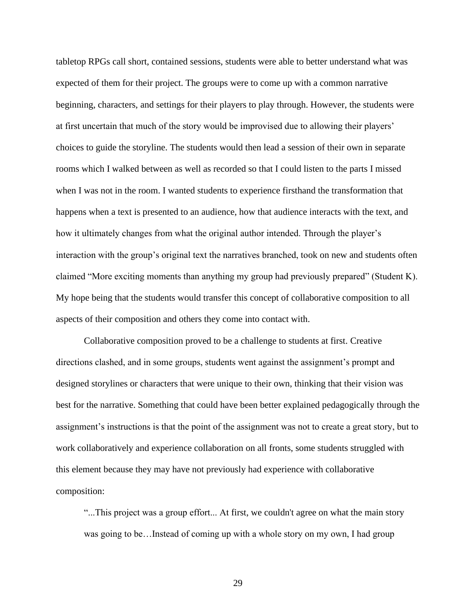tabletop RPGs call short, contained sessions, students were able to better understand what was expected of them for their project. The groups were to come up with a common narrative beginning, characters, and settings for their players to play through. However, the students were at first uncertain that much of the story would be improvised due to allowing their players' choices to guide the storyline. The students would then lead a session of their own in separate rooms which I walked between as well as recorded so that I could listen to the parts I missed when I was not in the room. I wanted students to experience firsthand the transformation that happens when a text is presented to an audience, how that audience interacts with the text, and how it ultimately changes from what the original author intended. Through the player's interaction with the group's original text the narratives branched, took on new and students often claimed "More exciting moments than anything my group had previously prepared" (Student K). My hope being that the students would transfer this concept of collaborative composition to all aspects of their composition and others they come into contact with.

Collaborative composition proved to be a challenge to students at first. Creative directions clashed, and in some groups, students went against the assignment's prompt and designed storylines or characters that were unique to their own, thinking that their vision was best for the narrative. Something that could have been better explained pedagogically through the assignment's instructions is that the point of the assignment was not to create a great story, but to work collaboratively and experience collaboration on all fronts, some students struggled with this element because they may have not previously had experience with collaborative composition:

"...This project was a group effort... At first, we couldn't agree on what the main story was going to be…Instead of coming up with a whole story on my own, I had group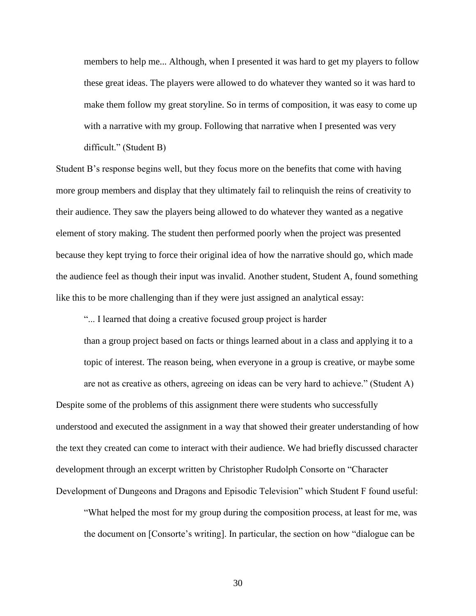members to help me... Although, when I presented it was hard to get my players to follow these great ideas. The players were allowed to do whatever they wanted so it was hard to make them follow my great storyline. So in terms of composition, it was easy to come up with a narrative with my group. Following that narrative when I presented was very difficult." (Student B)

Student B's response begins well, but they focus more on the benefits that come with having more group members and display that they ultimately fail to relinquish the reins of creativity to their audience. They saw the players being allowed to do whatever they wanted as a negative element of story making. The student then performed poorly when the project was presented because they kept trying to force their original idea of how the narrative should go, which made the audience feel as though their input was invalid. Another student, Student A, found something like this to be more challenging than if they were just assigned an analytical essay:

"... I learned that doing a creative focused group project is harder

than a group project based on facts or things learned about in a class and applying it to a topic of interest. The reason being, when everyone in a group is creative, or maybe some are not as creative as others, agreeing on ideas can be very hard to achieve." (Student A)

Despite some of the problems of this assignment there were students who successfully understood and executed the assignment in a way that showed their greater understanding of how the text they created can come to interact with their audience. We had briefly discussed character development through an excerpt written by Christopher Rudolph Consorte on "Character Development of Dungeons and Dragons and Episodic Television" which Student F found useful:

"What helped the most for my group during the composition process, at least for me, was the document on [Consorte's writing]. In particular, the section on how "dialogue can be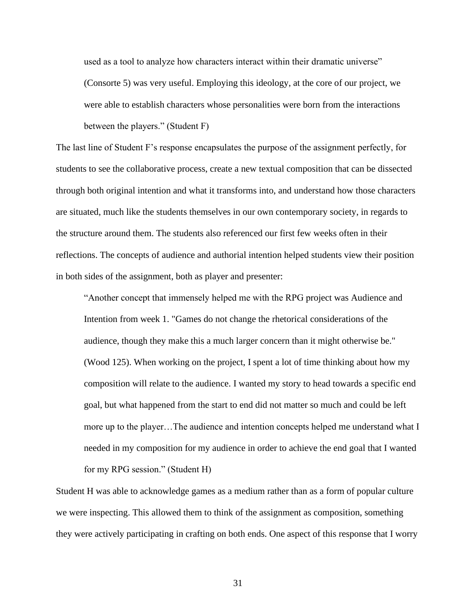used as a tool to analyze how characters interact within their dramatic universe" (Consorte 5) was very useful. Employing this ideology, at the core of our project, we were able to establish characters whose personalities were born from the interactions between the players." (Student F)

The last line of Student F's response encapsulates the purpose of the assignment perfectly, for students to see the collaborative process, create a new textual composition that can be dissected through both original intention and what it transforms into, and understand how those characters are situated, much like the students themselves in our own contemporary society, in regards to the structure around them. The students also referenced our first few weeks often in their reflections. The concepts of audience and authorial intention helped students view their position in both sides of the assignment, both as player and presenter:

"Another concept that immensely helped me with the RPG project was Audience and Intention from week 1. "Games do not change the rhetorical considerations of the audience, though they make this a much larger concern than it might otherwise be." (Wood 125). When working on the project, I spent a lot of time thinking about how my composition will relate to the audience. I wanted my story to head towards a specific end goal, but what happened from the start to end did not matter so much and could be left more up to the player…The audience and intention concepts helped me understand what I needed in my composition for my audience in order to achieve the end goal that I wanted for my RPG session." (Student H)

Student H was able to acknowledge games as a medium rather than as a form of popular culture we were inspecting. This allowed them to think of the assignment as composition, something they were actively participating in crafting on both ends. One aspect of this response that I worry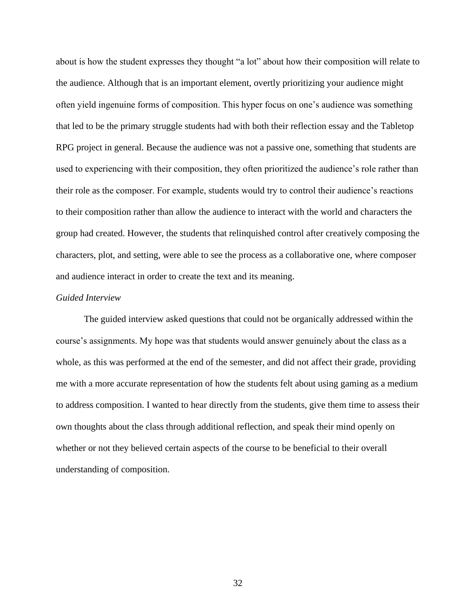about is how the student expresses they thought "a lot" about how their composition will relate to the audience. Although that is an important element, overtly prioritizing your audience might often yield ingenuine forms of composition. This hyper focus on one's audience was something that led to be the primary struggle students had with both their reflection essay and the Tabletop RPG project in general. Because the audience was not a passive one, something that students are used to experiencing with their composition, they often prioritized the audience's role rather than their role as the composer. For example, students would try to control their audience's reactions to their composition rather than allow the audience to interact with the world and characters the group had created. However, the students that relinquished control after creatively composing the characters, plot, and setting, were able to see the process as a collaborative one, where composer and audience interact in order to create the text and its meaning.

#### *Guided Interview*

The guided interview asked questions that could not be organically addressed within the course's assignments. My hope was that students would answer genuinely about the class as a whole, as this was performed at the end of the semester, and did not affect their grade, providing me with a more accurate representation of how the students felt about using gaming as a medium to address composition. I wanted to hear directly from the students, give them time to assess their own thoughts about the class through additional reflection, and speak their mind openly on whether or not they believed certain aspects of the course to be beneficial to their overall understanding of composition.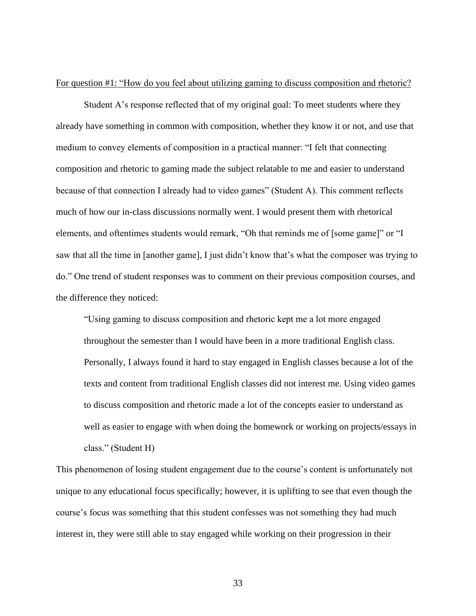For question #1: "How do you feel about utilizing gaming to discuss composition and rhetoric?

Student A's response reflected that of my original goal: To meet students where they already have something in common with composition, whether they know it or not, and use that medium to convey elements of composition in a practical manner: "I felt that connecting composition and rhetoric to gaming made the subject relatable to me and easier to understand because of that connection I already had to video games" (Student A). This comment reflects much of how our in-class discussions normally went. I would present them with rhetorical elements, and oftentimes students would remark, "Oh that reminds me of [some game]" or "I saw that all the time in [another game], I just didn't know that's what the composer was trying to do." One trend of student responses was to comment on their previous composition courses, and the difference they noticed:

"Using gaming to discuss composition and rhetoric kept me a lot more engaged throughout the semester than I would have been in a more traditional English class. Personally, I always found it hard to stay engaged in English classes because a lot of the texts and content from traditional English classes did not interest me. Using video games to discuss composition and rhetoric made a lot of the concepts easier to understand as well as easier to engage with when doing the homework or working on projects/essays in class." (Student H)

This phenomenon of losing student engagement due to the course's content is unfortunately not unique to any educational focus specifically; however, it is uplifting to see that even though the course's focus was something that this student confesses was not something they had much interest in, they were still able to stay engaged while working on their progression in their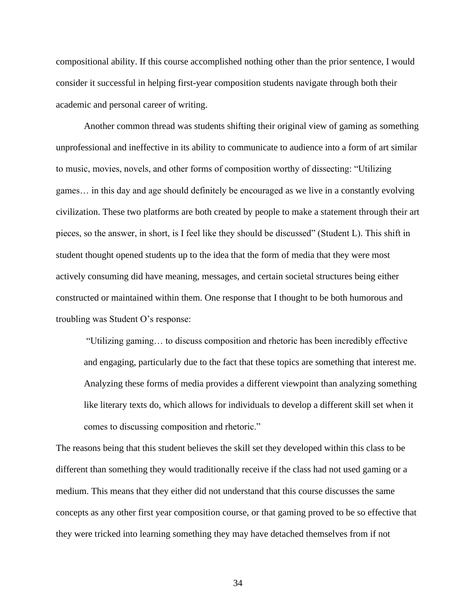compositional ability. If this course accomplished nothing other than the prior sentence, I would consider it successful in helping first-year composition students navigate through both their academic and personal career of writing.

Another common thread was students shifting their original view of gaming as something unprofessional and ineffective in its ability to communicate to audience into a form of art similar to music, movies, novels, and other forms of composition worthy of dissecting: "Utilizing games… in this day and age should definitely be encouraged as we live in a constantly evolving civilization. These two platforms are both created by people to make a statement through their art pieces, so the answer, in short, is I feel like they should be discussed" (Student L). This shift in student thought opened students up to the idea that the form of media that they were most actively consuming did have meaning, messages, and certain societal structures being either constructed or maintained within them. One response that I thought to be both humorous and troubling was Student O's response:

"Utilizing gaming… to discuss composition and rhetoric has been incredibly effective and engaging, particularly due to the fact that these topics are something that interest me. Analyzing these forms of media provides a different viewpoint than analyzing something like literary texts do, which allows for individuals to develop a different skill set when it comes to discussing composition and rhetoric."

The reasons being that this student believes the skill set they developed within this class to be different than something they would traditionally receive if the class had not used gaming or a medium. This means that they either did not understand that this course discusses the same concepts as any other first year composition course, or that gaming proved to be so effective that they were tricked into learning something they may have detached themselves from if not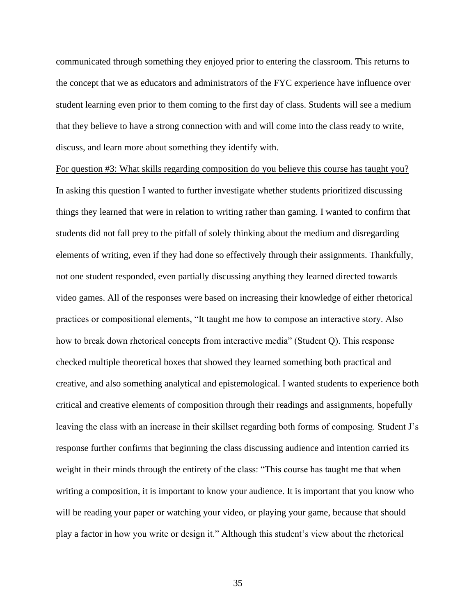communicated through something they enjoyed prior to entering the classroom. This returns to the concept that we as educators and administrators of the FYC experience have influence over student learning even prior to them coming to the first day of class. Students will see a medium that they believe to have a strong connection with and will come into the class ready to write, discuss, and learn more about something they identify with.

For question #3: What skills regarding composition do you believe this course has taught you? In asking this question I wanted to further investigate whether students prioritized discussing things they learned that were in relation to writing rather than gaming. I wanted to confirm that students did not fall prey to the pitfall of solely thinking about the medium and disregarding elements of writing, even if they had done so effectively through their assignments. Thankfully, not one student responded, even partially discussing anything they learned directed towards video games. All of the responses were based on increasing their knowledge of either rhetorical practices or compositional elements, "It taught me how to compose an interactive story. Also how to break down rhetorical concepts from interactive media" (Student Q). This response checked multiple theoretical boxes that showed they learned something both practical and creative, and also something analytical and epistemological. I wanted students to experience both critical and creative elements of composition through their readings and assignments, hopefully leaving the class with an increase in their skillset regarding both forms of composing. Student J's response further confirms that beginning the class discussing audience and intention carried its weight in their minds through the entirety of the class: "This course has taught me that when writing a composition, it is important to know your audience. It is important that you know who will be reading your paper or watching your video, or playing your game, because that should play a factor in how you write or design it." Although this student's view about the rhetorical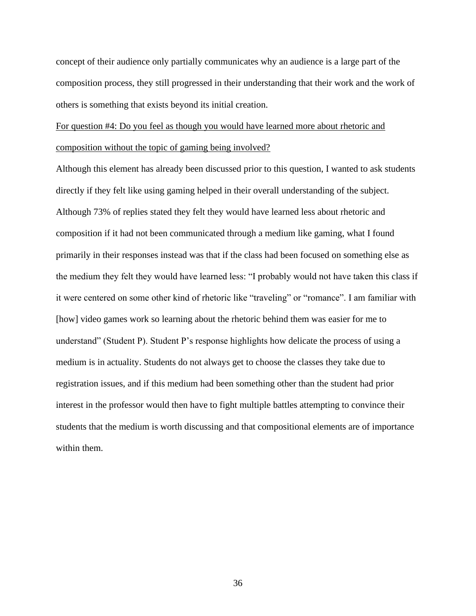concept of their audience only partially communicates why an audience is a large part of the composition process, they still progressed in their understanding that their work and the work of others is something that exists beyond its initial creation.

# For question #4: Do you feel as though you would have learned more about rhetoric and composition without the topic of gaming being involved?

Although this element has already been discussed prior to this question, I wanted to ask students directly if they felt like using gaming helped in their overall understanding of the subject. Although 73% of replies stated they felt they would have learned less about rhetoric and composition if it had not been communicated through a medium like gaming, what I found primarily in their responses instead was that if the class had been focused on something else as the medium they felt they would have learned less: "I probably would not have taken this class if it were centered on some other kind of rhetoric like "traveling" or "romance". I am familiar with [how] video games work so learning about the rhetoric behind them was easier for me to understand" (Student P). Student P's response highlights how delicate the process of using a medium is in actuality. Students do not always get to choose the classes they take due to registration issues, and if this medium had been something other than the student had prior interest in the professor would then have to fight multiple battles attempting to convince their students that the medium is worth discussing and that compositional elements are of importance within them.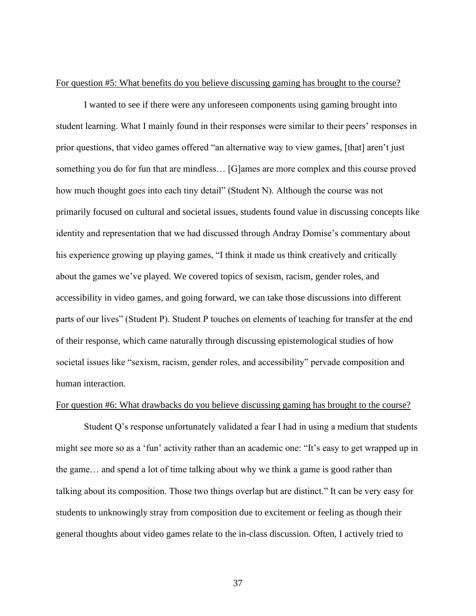#### For question #5: What benefits do you believe discussing gaming has brought to the course?

I wanted to see if there were any unforeseen components using gaming brought into student learning. What I mainly found in their responses were similar to their peers' responses in prior questions, that video games offered "an alternative way to view games, [that] aren't just something you do for fun that are mindless… [G]ames are more complex and this course proved how much thought goes into each tiny detail" (Student N). Although the course was not primarily focused on cultural and societal issues, students found value in discussing concepts like identity and representation that we had discussed through Andray Domise's commentary about his experience growing up playing games, "I think it made us think creatively and critically about the games we've played. We covered topics of sexism, racism, gender roles, and accessibility in video games, and going forward, we can take those discussions into different parts of our lives" (Student P). Student P touches on elements of teaching for transfer at the end of their response, which came naturally through discussing epistemological studies of how societal issues like "sexism, racism, gender roles, and accessibility" pervade composition and human interaction.

#### For question #6: What drawbacks do you believe discussing gaming has brought to the course?

Student Q's response unfortunately validated a fear I had in using a medium that students might see more so as a 'fun' activity rather than an academic one: "It's easy to get wrapped up in the game… and spend a lot of time talking about why we think a game is good rather than talking about its composition. Those two things overlap but are distinct." It can be very easy for students to unknowingly stray from composition due to excitement or feeling as though their general thoughts about video games relate to the in-class discussion. Often, I actively tried to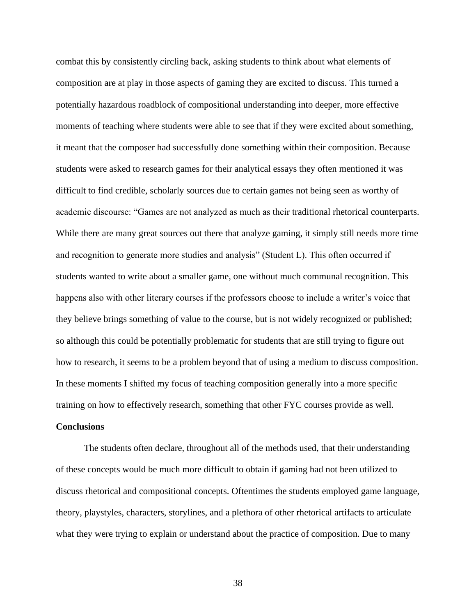combat this by consistently circling back, asking students to think about what elements of composition are at play in those aspects of gaming they are excited to discuss. This turned a potentially hazardous roadblock of compositional understanding into deeper, more effective moments of teaching where students were able to see that if they were excited about something, it meant that the composer had successfully done something within their composition. Because students were asked to research games for their analytical essays they often mentioned it was difficult to find credible, scholarly sources due to certain games not being seen as worthy of academic discourse: "Games are not analyzed as much as their traditional rhetorical counterparts. While there are many great sources out there that analyze gaming, it simply still needs more time and recognition to generate more studies and analysis" (Student L). This often occurred if students wanted to write about a smaller game, one without much communal recognition. This happens also with other literary courses if the professors choose to include a writer's voice that they believe brings something of value to the course, but is not widely recognized or published; so although this could be potentially problematic for students that are still trying to figure out how to research, it seems to be a problem beyond that of using a medium to discuss composition. In these moments I shifted my focus of teaching composition generally into a more specific training on how to effectively research, something that other FYC courses provide as well.

#### **Conclusions**

The students often declare, throughout all of the methods used, that their understanding of these concepts would be much more difficult to obtain if gaming had not been utilized to discuss rhetorical and compositional concepts. Oftentimes the students employed game language, theory, playstyles, characters, storylines, and a plethora of other rhetorical artifacts to articulate what they were trying to explain or understand about the practice of composition. Due to many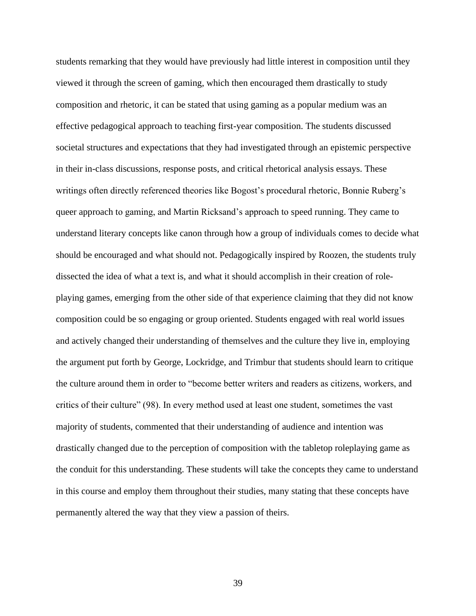students remarking that they would have previously had little interest in composition until they viewed it through the screen of gaming, which then encouraged them drastically to study composition and rhetoric, it can be stated that using gaming as a popular medium was an effective pedagogical approach to teaching first-year composition. The students discussed societal structures and expectations that they had investigated through an epistemic perspective in their in-class discussions, response posts, and critical rhetorical analysis essays. These writings often directly referenced theories like Bogost's procedural rhetoric, Bonnie Ruberg's queer approach to gaming, and Martin Ricksand's approach to speed running. They came to understand literary concepts like canon through how a group of individuals comes to decide what should be encouraged and what should not. Pedagogically inspired by Roozen, the students truly dissected the idea of what a text is, and what it should accomplish in their creation of roleplaying games, emerging from the other side of that experience claiming that they did not know composition could be so engaging or group oriented. Students engaged with real world issues and actively changed their understanding of themselves and the culture they live in, employing the argument put forth by George, Lockridge, and Trimbur that students should learn to critique the culture around them in order to "become better writers and readers as citizens, workers, and critics of their culture" (98). In every method used at least one student, sometimes the vast majority of students, commented that their understanding of audience and intention was drastically changed due to the perception of composition with the tabletop roleplaying game as the conduit for this understanding. These students will take the concepts they came to understand in this course and employ them throughout their studies, many stating that these concepts have permanently altered the way that they view a passion of theirs.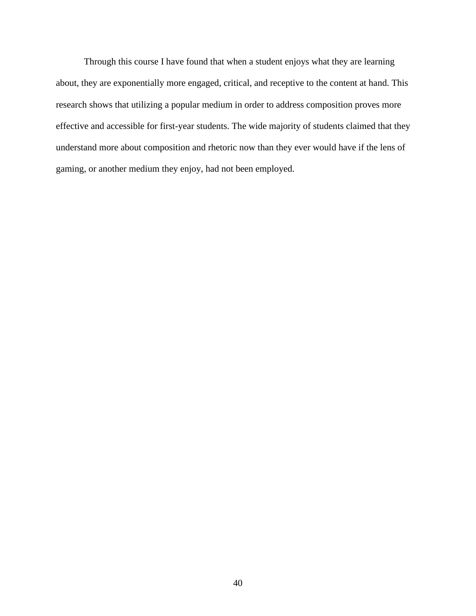Through this course I have found that when a student enjoys what they are learning about, they are exponentially more engaged, critical, and receptive to the content at hand. This research shows that utilizing a popular medium in order to address composition proves more effective and accessible for first-year students. The wide majority of students claimed that they understand more about composition and rhetoric now than they ever would have if the lens of gaming, or another medium they enjoy, had not been employed.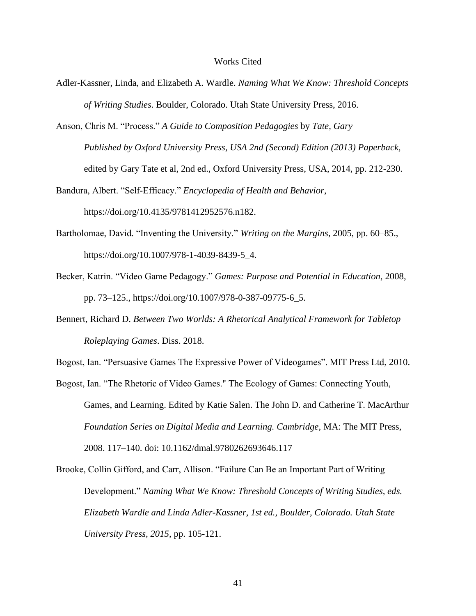#### Works Cited

- Adler-Kassner, Linda, and Elizabeth A. Wardle. *Naming What We Know: Threshold Concepts of Writing Studies*. Boulder, Colorado. Utah State University Press, 2016.
- Anson, Chris M. "Process." *A Guide to Composition Pedagogies* by *Tate, Gary Published by Oxford University Press, USA 2nd (Second) Edition (2013) Paperback,*  edited by Gary Tate et al, 2nd ed., Oxford University Press, USA, 2014, pp. 212-230.

Bandura, Albert. "Self-Efficacy." *Encyclopedia of Health and Behavior*, https://doi.org/10.4135/9781412952576.n182.

- Bartholomae, David. "Inventing the University." *Writing on the Margins*, 2005, pp. 60–85., https://doi.org/10.1007/978-1-4039-8439-5\_4.
- Becker, Katrin. "Video Game Pedagogy." *Games: Purpose and Potential in Education*, 2008, pp. 73–125., https://doi.org/10.1007/978-0-387-09775-6\_5.
- Bennert, Richard D. *Between Two Worlds: A Rhetorical Analytical Framework for Tabletop Roleplaying Games*. Diss. 2018.

Bogost, Ian. "Persuasive Games The Expressive Power of Videogames". MIT Press Ltd, 2010.

Bogost, Ian. "The Rhetoric of Video Games." The Ecology of Games: Connecting Youth,

Games, and Learning. Edited by Katie Salen. The John D. and Catherine T. MacArthur *Foundation Series on Digital Media and Learning. Cambridge,* MA: The MIT Press, 2008. 117–140. doi: 10.1162/dmal.9780262693646.117

Brooke, Collin Gifford, and Carr, Allison. "Failure Can Be an Important Part of Writing Development." *Naming What We Know: Threshold Concepts of Writing Studies, eds. Elizabeth Wardle and Linda Adler-Kassner, 1st ed., Boulder, Colorado. Utah State University Press, 2015,* pp. 105-121.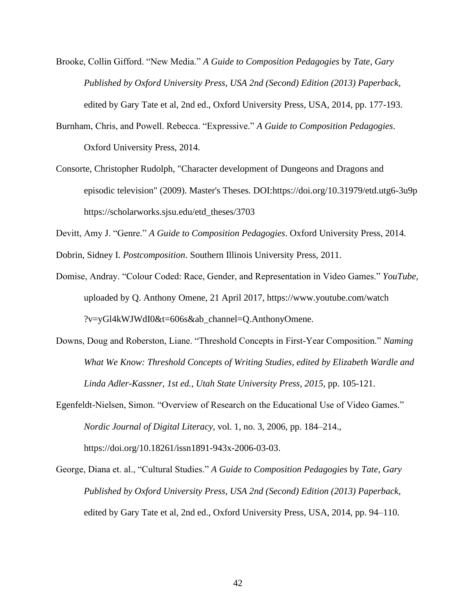- Brooke, Collin Gifford. "New Media." *A Guide to Composition Pedagogies* by *Tate, Gary Published by Oxford University Press, USA 2nd (Second) Edition (2013) Paperback,*  edited by Gary Tate et al, 2nd ed., Oxford University Press, USA, 2014, pp. 177-193.
- Burnham, Chris, and Powell. Rebecca. "Expressive." *A Guide to Composition Pedagogies*. Oxford University Press, 2014.
- Consorte, Christopher Rudolph, "Character development of Dungeons and Dragons and episodic television" (2009). Master's Theses. DOI:https://doi.org/10.31979/etd.utg6-3u9p https://scholarworks.sjsu.edu/etd\_theses/3703

Devitt, Amy J. "Genre." *A Guide to Composition Pedagogies*. Oxford University Press, 2014.

Dobrin, Sidney I. *Postcomposition*. Southern Illinois University Press, 2011.

- Domise, Andray. "Colour Coded: Race, Gender, and Representation in Video Games." *YouTube,* uploaded by Q. Anthony Omene, 21 April 2017, https://www.youtube.com/watch ?v=yGl4kWJWdI0&t=606s&ab\_channel=Q.AnthonyOmene.
- Downs, Doug and Roberston, Liane. "Threshold Concepts in First-Year Composition." *Naming What We Know: Threshold Concepts of Writing Studies, edited by Elizabeth Wardle and Linda Adler-Kassner, 1st ed., Utah State University Press, 2015,* pp. 105-121.
- Egenfeldt-Nielsen, Simon. "Overview of Research on the Educational Use of Video Games." *Nordic Journal of Digital Literacy*, vol. 1, no. 3, 2006, pp. 184–214., https://doi.org/10.18261/issn1891-943x-2006-03-03.
- George, Diana et. al., "Cultural Studies." *A Guide to Composition Pedagogies* by *Tate, Gary Published by Oxford University Press, USA 2nd (Second) Edition (2013) Paperback,*  edited by Gary Tate et al, 2nd ed., Oxford University Press, USA, 2014, pp. 94–110.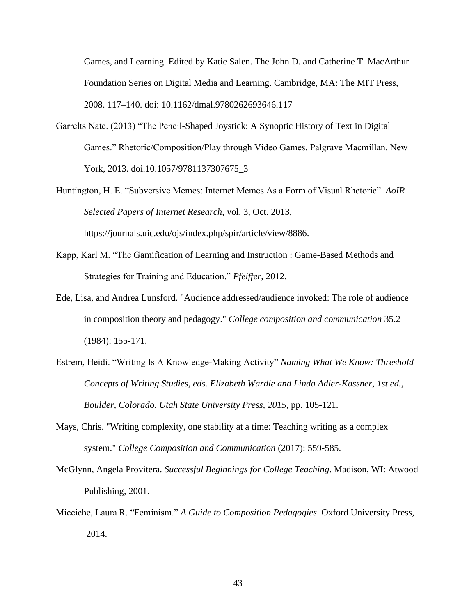Games, and Learning. Edited by Katie Salen. The John D. and Catherine T. MacArthur Foundation Series on Digital Media and Learning. Cambridge, MA: The MIT Press, 2008. 117–140. doi: 10.1162/dmal.9780262693646.117

- Garrelts Nate. (2013) "The Pencil-Shaped Joystick: A Synoptic History of Text in Digital Games." Rhetoric/Composition/Play through Video Games. Palgrave Macmillan. New York, 2013. doi.10.1057/9781137307675\_3
- Huntington, H. E. "Subversive Memes: Internet Memes As a Form of Visual Rhetoric". *AoIR Selected Papers of Internet Research*, vol. 3, Oct. 2013, https://journals.uic.edu/ojs/index.php/spir/article/view/8886.
- Kapp, Karl M. "The Gamification of Learning and Instruction : Game-Based Methods and Strategies for Training and Education." *Pfeiffer*, 2012.
- Ede, Lisa, and Andrea Lunsford. "Audience addressed/audience invoked: The role of audience in composition theory and pedagogy." *College composition and communication* 35.2 (1984): 155-171.
- Estrem, Heidi. "Writing Is A Knowledge-Making Activity" *Naming What We Know: Threshold Concepts of Writing Studies, eds. Elizabeth Wardle and Linda Adler-Kassner, 1st ed., Boulder, Colorado. Utah State University Press, 2015,* pp. 105-121.
- Mays, Chris. "Writing complexity, one stability at a time: Teaching writing as a complex system." *College Composition and Communication* (2017): 559-585.
- McGlynn, Angela Provitera. *Successful Beginnings for College Teaching*. Madison, WI: Atwood Publishing, 2001.
- Micciche, Laura R. "Feminism." *A Guide to Composition Pedagogies*. Oxford University Press, 2014.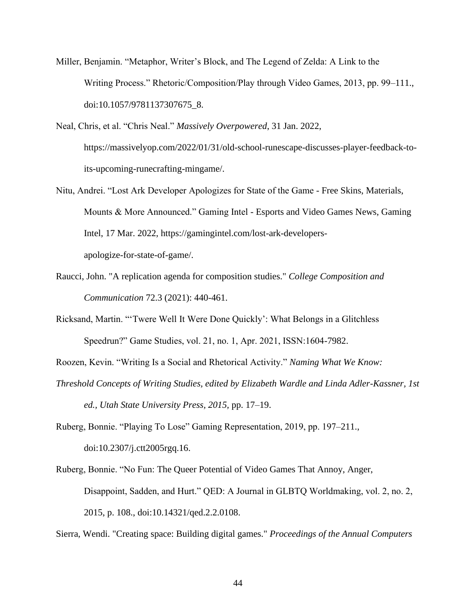- Miller, Benjamin. "Metaphor, Writer's Block, and The Legend of Zelda: A Link to the Writing Process." Rhetoric/Composition/Play through Video Games, 2013, pp. 99–111., doi:10.1057/9781137307675\_8.
- Neal, Chris, et al. "Chris Neal." *Massively Overpowered*, 31 Jan. 2022, https://massivelyop.com/2022/01/31/old-school-runescape-discusses-player-feedback-toits-upcoming-runecrafting-mingame/.
- Nitu, Andrei. "Lost Ark Developer Apologizes for State of the Game Free Skins, Materials, Mounts & More Announced." Gaming Intel - Esports and Video Games News, Gaming Intel, 17 Mar. 2022, https://gamingintel.com/lost-ark-developersapologize-for-state-of-game/.
- Raucci, John. "A replication agenda for composition studies." *College Composition and Communication* 72.3 (2021): 440-461.
- Ricksand, Martin. "'Twere Well It Were Done Quickly': What Belongs in a Glitchless Speedrun?" Game Studies, vol. 21, no. 1, Apr. 2021, ISSN:1604-7982.
- Roozen, Kevin. "Writing Is a Social and Rhetorical Activity." *Naming What We Know:*
- *Threshold Concepts of Writing Studies, edited by Elizabeth Wardle and Linda Adler-Kassner, 1st ed., Utah State University Press, 2015,* pp. 17–19.
- Ruberg, Bonnie. "Playing To Lose" Gaming Representation, 2019, pp. 197–211., doi:10.2307/j.ctt2005rgq.16.
- Ruberg, Bonnie. "No Fun: The Queer Potential of Video Games That Annoy, Anger, Disappoint, Sadden, and Hurt." QED: A Journal in GLBTQ Worldmaking, vol. 2, no. 2, 2015, p. 108., doi:10.14321/qed.2.2.0108.

Sierra, Wendi. "Creating space: Building digital games." *Proceedings of the Annual Computers*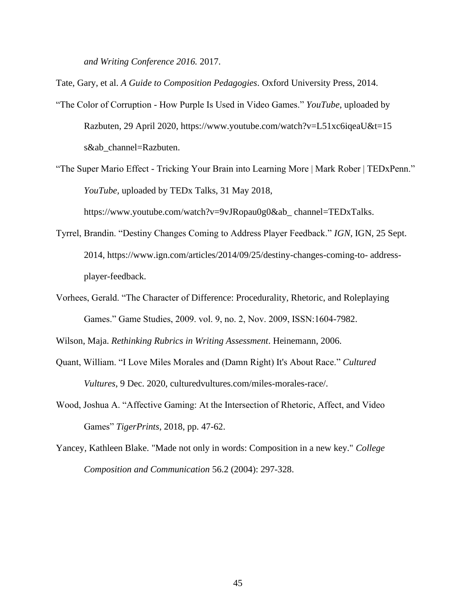*and Writing Conference 2016.* 2017.

Tate, Gary, et al. *A Guide to Composition Pedagogies*. Oxford University Press, 2014.

"The Color of Corruption - How Purple Is Used in Video Games." *YouTube,* uploaded by Razbuten, 29 April 2020, https://www.youtube.com/watch?v=L51xc6iqeaU&t=15 s&ab\_channel=Razbuten.

"The Super Mario Effect - Tricking Your Brain into Learning More | Mark Rober | TEDxPenn." *YouTube,* uploaded by TEDx Talks, 31 May 2018,

https://www.youtube.com/watch?v=9vJRopau0g0&ab\_ channel=TEDxTalks.

- Tyrrel, Brandin. "Destiny Changes Coming to Address Player Feedback." *IGN*, IGN, 25 Sept. 2014, https://www.ign.com/articles/2014/09/25/destiny-changes-coming-to- addressplayer-feedback.
- Vorhees, Gerald. "The Character of Difference: Procedurality, Rhetoric, and Roleplaying Games." Game Studies, 2009. vol. 9, no. 2, Nov. 2009, ISSN:1604-7982.

Wilson, Maja. *Rethinking Rubrics in Writing Assessment*. Heinemann, 2006.

- Quant, William. "I Love Miles Morales and (Damn Right) It's About Race." *Cultured Vultures*, 9 Dec. 2020, culturedvultures.com/miles-morales-race/.
- Wood, Joshua A. "Affective Gaming: At the Intersection of Rhetoric, Affect, and Video Games" *TigerPrints*, 2018, pp. 47-62.
- Yancey, Kathleen Blake. "Made not only in words: Composition in a new key." *College Composition and Communication* 56.2 (2004): 297-328.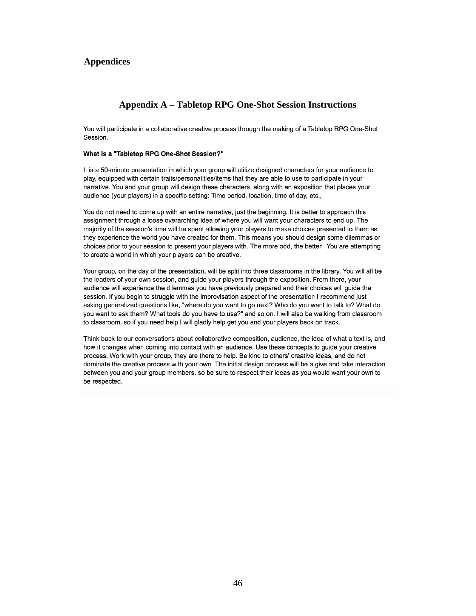### **Appendices**

### **Appendix A – Tabletop RPG One-Shot Session Instructions**

You will participate in a collaborative creative process through the making of a Tabletop RPG One-Shot Session.

#### What is a "Tabletop RPG One-Shot Session?"

It is a 50-minute presentation in which your group will utilize designed characters for your audience to play, equipped with certain traits/personalities/items that they are able to use to participate in your narrative. You and your group will design these characters, along with an exposition that places your audience (your players) in a specific setting: Time period, location, time of day, etc.,

You do not need to come up with an entire narrative, just the beginning. It is better to approach this assignment through a loose overarching idea of where you will want your characters to end up. The majority of the session's time will be spent allowing your players to make choices presented to them as they experience the world you have created for them. This means you should design some dilemmas or choices prior to your session to present your players with. The more odd, the better. You are attempting to create a world in which your players can be creative.

Your group, on the day of the presentation, will be split into three classrooms in the library. You will all be the leaders of your own session, and quide your players through the exposition. From there, your audience will experience the dilemmas you have previously prepared and their choices will guide the session. If you begin to struggle with the improvisation aspect of the presentation I recommend just asking generalized questions like, "where do you want to go next? Who do you want to talk to? What do you want to ask them? What tools do you have to use?" and so on. I will also be walking from classroom to classroom, so if you need help I will gladly help get you and your players back on track.

Think back to our conversations about collaborative composition, audience, the idea of what a text is, and how it changes when coming into contact with an audience. Use these concepts to guide your creative process. Work with your group, they are there to help. Be kind to others' creative ideas, and do not dominate the creative process with your own. The initial design process will be a give and take interaction between you and your group members, so be sure to respect their ideas as you would want your own to be respected.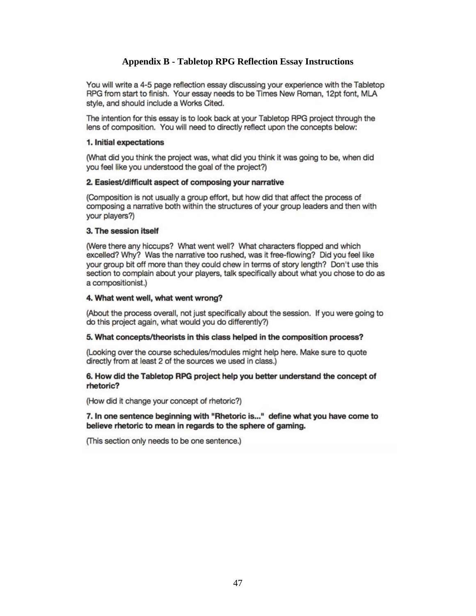### **Appendix B - Tabletop RPG Reflection Essay Instructions**

You will write a 4-5 page reflection essay discussing your experience with the Tabletop RPG from start to finish. Your essay needs to be Times New Roman, 12pt font, MLA style, and should include a Works Cited.

The intention for this essay is to look back at your Tabletop RPG project through the lens of composition. You will need to directly reflect upon the concepts below:

#### 1. Initial expectations

(What did you think the project was, what did you think it was going to be, when did you feel like you understood the goal of the project?)

#### 2. Easiest/difficult aspect of composing your narrative

(Composition is not usually a group effort, but how did that affect the process of composing a narrative both within the structures of your group leaders and then with vour players?)

#### 3. The session itself

(Were there any hiccups? What went well? What characters flopped and which excelled? Why? Was the narrative too rushed, was it free-flowing? Did you feel like your group bit off more than they could chew in terms of story length? Don't use this section to complain about your players, talk specifically about what you chose to do as a compositionist.)

#### 4. What went well, what went wrong?

(About the process overall, not just specifically about the session. If you were going to do this project again, what would you do differently?)

#### 5. What concepts/theorists in this class helped in the composition process?

(Looking over the course schedules/modules might help here. Make sure to quote directly from at least 2 of the sources we used in class.)

#### 6. How did the Tabletop RPG project help you better understand the concept of rhetoric?

(How did it change your concept of rhetoric?)

7. In one sentence beginning with "Rhetoric is..." define what you have come to believe rhetoric to mean in regards to the sphere of gaming.

(This section only needs to be one sentence.)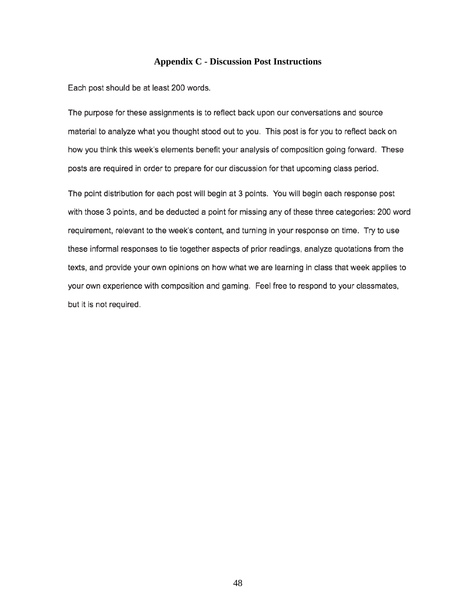#### **Appendix C - Discussion Post Instructions**

Each post should be at least 200 words.

The purpose for these assignments is to reflect back upon our conversations and source material to analyze what you thought stood out to you. This post is for you to reflect back on how you think this week's elements benefit your analysis of composition going forward. These posts are required in order to prepare for our discussion for that upcoming class period.

The point distribution for each post will begin at 3 points. You will begin each response post with those 3 points, and be deducted a point for missing any of these three categories: 200 word requirement, relevant to the week's content, and turning in your response on time. Try to use these informal responses to tie together aspects of prior readings, analyze quotations from the texts, and provide your own opinions on how what we are learning in class that week applies to your own experience with composition and gaming. Feel free to respond to your classmates, but it is not required.